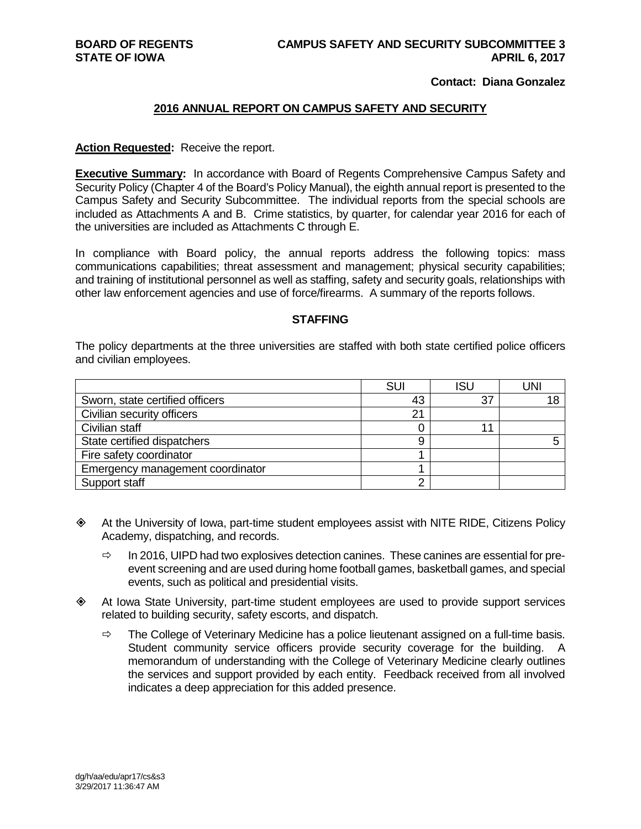#### **Contact: Diana Gonzalez**

#### **2016 ANNUAL REPORT ON CAMPUS SAFETY AND SECURITY**

#### **Action Requested:** Receive the report.

**Executive Summary:** In accordance with Board of Regents Comprehensive Campus Safety and Security Policy (Chapter 4 of the Board's Policy Manual), the eighth annual report is presented to the Campus Safety and Security Subcommittee. The individual reports from the special schools are included as Attachments A and B. Crime statistics, by quarter, for calendar year 2016 for each of the universities are included as Attachments C through E.

In compliance with Board policy, the annual reports address the following topics: mass communications capabilities; threat assessment and management; physical security capabilities; and training of institutional personnel as well as staffing, safety and security goals, relationships with other law enforcement agencies and use of force/firearms. A summary of the reports follows.

#### **STAFFING**

The policy departments at the three universities are staffed with both state certified police officers and civilian employees.

|                                  | <b>SUI</b> | ISL | JNI |
|----------------------------------|------------|-----|-----|
| Sworn, state certified officers  | 43         | 37  |     |
| Civilian security officers       | 21         |     |     |
| Civilian staff                   |            | и   |     |
| State certified dispatchers      | ë          |     |     |
| Fire safety coordinator          |            |     |     |
| Emergency management coordinator |            |     |     |
| Support staff                    |            |     |     |

- At the University of Iowa, part-time student employees assist with NITE RIDE, Citizens Policy Academy, dispatching, and records.
	- $\Rightarrow$  In 2016, UIPD had two explosives detection canines. These canines are essential for preevent screening and are used during home football games, basketball games, and special events, such as political and presidential visits.
- At Iowa State University, part-time student employees are used to provide support services related to building security, safety escorts, and dispatch.
	- $\Rightarrow$  The College of Veterinary Medicine has a police lieutenant assigned on a full-time basis. Student community service officers provide security coverage for the building. A memorandum of understanding with the College of Veterinary Medicine clearly outlines the services and support provided by each entity. Feedback received from all involved indicates a deep appreciation for this added presence.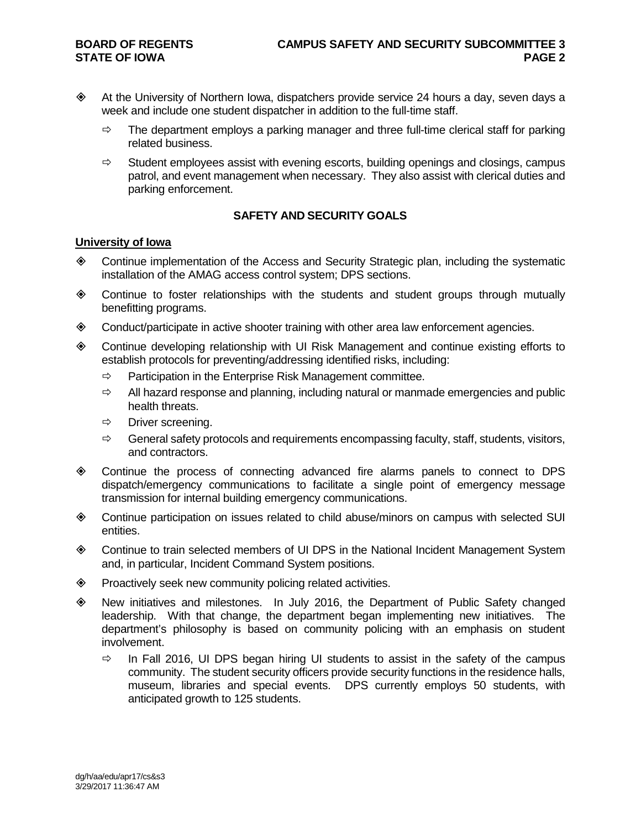- At the University of Northern Iowa, dispatchers provide service 24 hours a day, seven days a week and include one student dispatcher in addition to the full-time staff.
	- $\Rightarrow$  The department employs a parking manager and three full-time clerical staff for parking related business.
	- $\Rightarrow$  Student employees assist with evening escorts, building openings and closings, campus patrol, and event management when necessary. They also assist with clerical duties and parking enforcement.

#### **SAFETY AND SECURITY GOALS**

#### **University of Iowa**

- Continue implementation of the Access and Security Strategic plan, including the systematic installation of the AMAG access control system; DPS sections.
- Continue to foster relationships with the students and student groups through mutually benefitting programs.
- Conduct/participate in active shooter training with other area law enforcement agencies.
- Continue developing relationship with UI Risk Management and continue existing efforts to establish protocols for preventing/addressing identified risks, including:
	- $\Rightarrow$  Participation in the Enterprise Risk Management committee.
	- $\Rightarrow$  All hazard response and planning, including natural or manmade emergencies and public health threats.
	- $\Rightarrow$  Driver screening.
	- $\Rightarrow$  General safety protocols and requirements encompassing faculty, staff, students, visitors, and contractors.
- Continue the process of connecting advanced fire alarms panels to connect to DPS dispatch/emergency communications to facilitate a single point of emergency message transmission for internal building emergency communications.
- Continue participation on issues related to child abuse/minors on campus with selected SUI entities.
- Continue to train selected members of UI DPS in the National Incident Management System and, in particular, Incident Command System positions.
- ◆ Proactively seek new community policing related activities.
- New initiatives and milestones. In July 2016, the Department of Public Safety changed leadership. With that change, the department began implementing new initiatives. The department's philosophy is based on community policing with an emphasis on student involvement.
	- $\Rightarrow$  In Fall 2016, UI DPS began hiring UI students to assist in the safety of the campus community. The student security officers provide security functions in the residence halls, museum, libraries and special events. DPS currently employs 50 students, with anticipated growth to 125 students.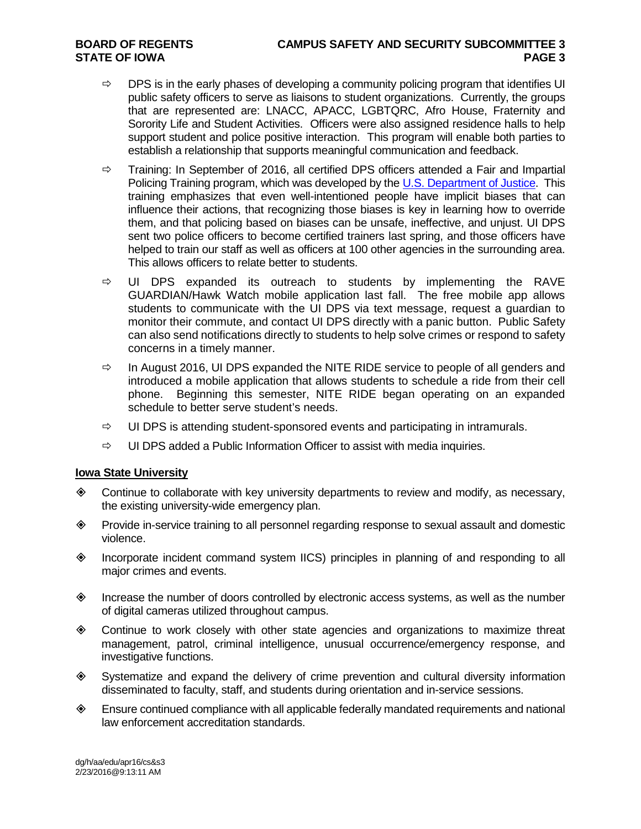- $\Rightarrow$  DPS is in the early phases of developing a community policing program that identifies UI public safety officers to serve as liaisons to student organizations. Currently, the groups that are represented are: LNACC, APACC, LGBTQRC, Afro House, Fraternity and Sorority Life and Student Activities. Officers were also assigned residence halls to help support student and police positive interaction. This program will enable both parties to establish a relationship that supports meaningful communication and feedback.
- $\Rightarrow$  Training: In September of 2016, all certified DPS officers attended a Fair and Impartial Policing Training program, which was developed by the [U.S. Department of Justice.](https://www.justice.gov/) This training emphasizes that even well-intentioned people have implicit biases that can influence their actions, that recognizing those biases is key in learning how to override them, and that policing based on biases can be unsafe, ineffective, and unjust. UI DPS sent two police officers to become certified trainers last spring, and those officers have helped to train our staff as well as officers at 100 other agencies in the surrounding area. This allows officers to relate better to students.
- $\Rightarrow$  UI DPS expanded its outreach to students by implementing the RAVE GUARDIAN/Hawk Watch mobile application last fall. The free mobile app allows students to communicate with the UI DPS via text message, request a guardian to monitor their commute, and contact UI DPS directly with a panic button. Public Safety can also send notifications directly to students to help solve crimes or respond to safety concerns in a timely manner.
- $\Rightarrow$  In August 2016, UI DPS expanded the NITE RIDE service to people of all genders and introduced a mobile application that allows students to schedule a ride from their cell phone. Beginning this semester, NITE RIDE began operating on an expanded schedule to better serve student's needs.
- $\Rightarrow$  UI DPS is attending student-sponsored events and participating in intramurals.
- $\Rightarrow$  UI DPS added a Public Information Officer to assist with media inquiries.

#### **Iowa State University**

- Continue to collaborate with key university departments to review and modify, as necessary, the existing university-wide emergency plan.
- Provide in-service training to all personnel regarding response to sexual assault and domestic violence.
- Incorporate incident command system IICS) principles in planning of and responding to all major crimes and events.
- $\Diamond$  Increase the number of doors controlled by electronic access systems, as well as the number of digital cameras utilized throughout campus.
- Continue to work closely with other state agencies and organizations to maximize threat management, patrol, criminal intelligence, unusual occurrence/emergency response, and investigative functions.
- Systematize and expand the delivery of crime prevention and cultural diversity information disseminated to faculty, staff, and students during orientation and in-service sessions.
- Ensure continued compliance with all applicable federally mandated requirements and national law enforcement accreditation standards.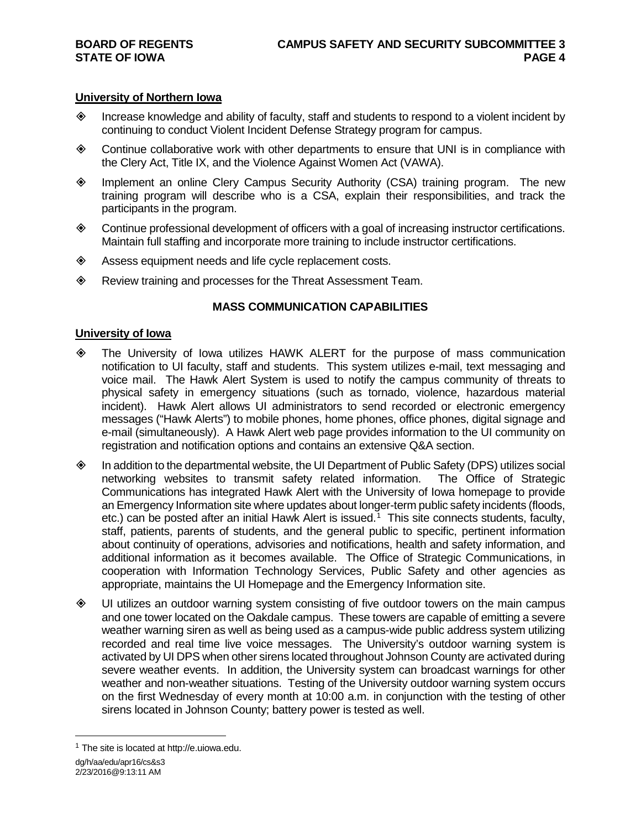#### **University of Northern Iowa**

- $\Diamond$  Increase knowledge and ability of faculty, staff and students to respond to a violent incident by continuing to conduct Violent Incident Defense Strategy program for campus.
- Continue collaborative work with other departments to ensure that UNI is in compliance with the Clery Act, Title IX, and the Violence Against Women Act (VAWA).
- Implement an online Clery Campus Security Authority (CSA) training program. The new training program will describe who is a CSA, explain their responsibilities, and track the participants in the program.
- Continue professional development of officers with a goal of increasing instructor certifications. Maintain full staffing and incorporate more training to include instructor certifications.
- Assess equipment needs and life cycle replacement costs.
- Review training and processes for the Threat Assessment Team.

#### **MASS COMMUNICATION CAPABILITIES**

#### **University of Iowa**

- The University of Iowa utilizes HAWK ALERT for the purpose of mass communication notification to UI faculty, staff and students. This system utilizes e-mail, text messaging and voice mail. The Hawk Alert System is used to notify the campus community of threats to physical safety in emergency situations (such as tornado, violence, hazardous material incident). Hawk Alert allows UI administrators to send recorded or electronic emergency messages ("Hawk Alerts") to mobile phones, home phones, office phones, digital signage and e-mail (simultaneously). A Hawk Alert web page provides information to the UI community on registration and notification options and contains an extensive Q&A section.
- $\diamond$  In addition to the departmental website, the UI Department of Public Safety (DPS) utilizes social networking websites to transmit safety related information. The Office of Strategic Communications has integrated Hawk Alert with the University of Iowa homepage to provide an Emergency Information site where updates about longer-term public safety incidents (floods, etc.) can be posted after an initial Hawk Alert is issued.<sup>[1](#page-3-0)</sup> This site connects students, faculty, staff, patients, parents of students, and the general public to specific, pertinent information about continuity of operations, advisories and notifications, health and safety information, and additional information as it becomes available. The Office of Strategic Communications, in cooperation with Information Technology Services, Public Safety and other agencies as appropriate, maintains the UI Homepage and the Emergency Information site.
- UI utilizes an outdoor warning system consisting of five outdoor towers on the main campus and one tower located on the Oakdale campus. These towers are capable of emitting a severe weather warning siren as well as being used as a campus-wide public address system utilizing recorded and real time live voice messages. The University's outdoor warning system is activated by UI DPS when other sirens located throughout Johnson County are activated during severe weather events. In addition, the University system can broadcast warnings for other weather and non-weather situations. Testing of the University outdoor warning system occurs on the first Wednesday of every month at 10:00 a.m. in conjunction with the testing of other sirens located in Johnson County; battery power is tested as well.

<span id="page-3-0"></span> <sup>1</sup> The site is located at http://e.uiowa.edu.

dg/h/aa/edu/apr16/cs&s3 2/23/2016@9:13:11 AM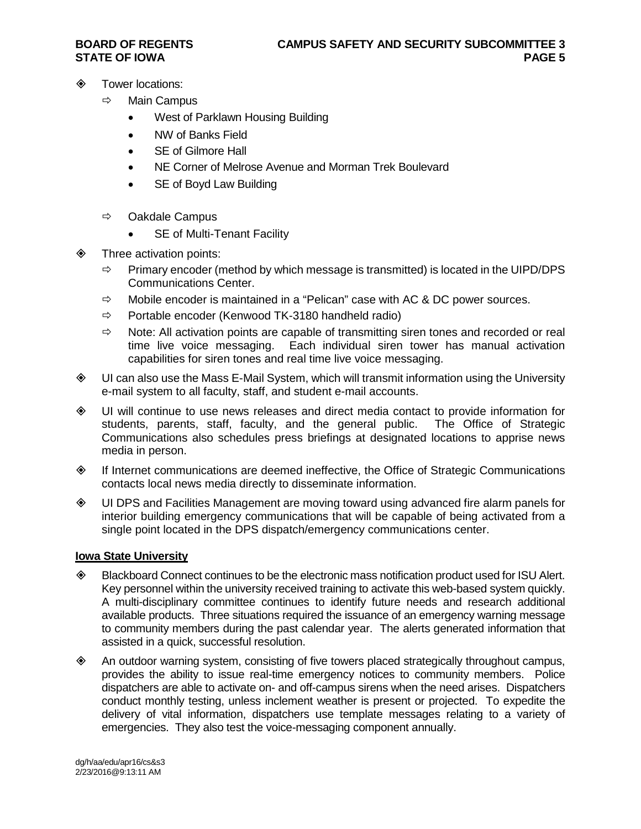- **♦ Tower locations:** 
	- $\Rightarrow$  Main Campus
		- West of Parklawn Housing Building
		- NW of Banks Field
		- SE of Gilmore Hall
		- NE Corner of Melrose Avenue and Morman Trek Boulevard
		- SE of Boyd Law Building
	- $\Rightarrow$  Oakdale Campus
		- SE of Multi-Tenant Facility
- **♦ Three activation points:** 
	- $\Rightarrow$  Primary encoder (method by which message is transmitted) is located in the UIPD/DPS Communications Center.
	- $\Rightarrow$  Mobile encoder is maintained in a "Pelican" case with AC & DC power sources.
	- $\Rightarrow$  Portable encoder (Kenwood TK-3180 handheld radio)
	- $\Rightarrow$  Note: All activation points are capable of transmitting siren tones and recorded or real time live voice messaging. Each individual siren tower has manual activation capabilities for siren tones and real time live voice messaging.
- UI can also use the Mass E-Mail System, which will transmit information using the University e-mail system to all faculty, staff, and student e-mail accounts.
- UI will continue to use news releases and direct media contact to provide information for students, parents, staff, faculty, and the general public. The Office of Strategic Communications also schedules press briefings at designated locations to apprise news media in person.
- If Internet communications are deemed ineffective, the Office of Strategic Communications contacts local news media directly to disseminate information.
- UI DPS and Facilities Management are moving toward using advanced fire alarm panels for interior building emergency communications that will be capable of being activated from a single point located in the DPS dispatch/emergency communications center.

#### **Iowa State University**

- Blackboard Connect continues to be the electronic mass notification product used for ISU Alert. Key personnel within the university received training to activate this web-based system quickly. A multi-disciplinary committee continues to identify future needs and research additional available products. Three situations required the issuance of an emergency warning message to community members during the past calendar year. The alerts generated information that assisted in a quick, successful resolution.
- An outdoor warning system, consisting of five towers placed strategically throughout campus, provides the ability to issue real-time emergency notices to community members. Police dispatchers are able to activate on- and off-campus sirens when the need arises. Dispatchers conduct monthly testing, unless inclement weather is present or projected. To expedite the delivery of vital information, dispatchers use template messages relating to a variety of emergencies. They also test the voice-messaging component annually.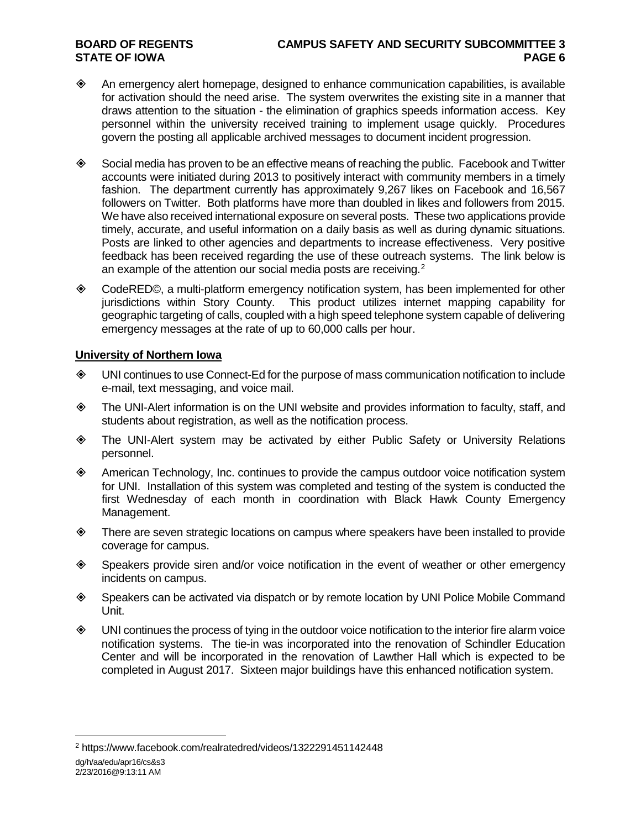- $\diamond$  An emergency alert homepage, designed to enhance communication capabilities, is available for activation should the need arise. The system overwrites the existing site in a manner that draws attention to the situation - the elimination of graphics speeds information access. Key personnel within the university received training to implement usage quickly. Procedures govern the posting all applicable archived messages to document incident progression.
- Social media has proven to be an effective means of reaching the public. Facebook and Twitter accounts were initiated during 2013 to positively interact with community members in a timely fashion. The department currently has approximately 9,267 likes on Facebook and 16,567 followers on Twitter. Both platforms have more than doubled in likes and followers from 2015. We have also received international exposure on several posts. These two applications provide timely, accurate, and useful information on a daily basis as well as during dynamic situations. Posts are linked to other agencies and departments to increase effectiveness. Very positive feedback has been received regarding the use of these outreach systems. The link below is an example of the attention our social media posts are receiving.<sup>[2](#page-5-0)</sup>
- CodeRED©, a multi-platform emergency notification system, has been implemented for other jurisdictions within Story County. This product utilizes internet mapping capability for geographic targeting of calls, coupled with a high speed telephone system capable of delivering emergency messages at the rate of up to 60,000 calls per hour.

#### **University of Northern Iowa**

- UNI continues to use Connect-Ed for the purpose of mass communication notification to include e-mail, text messaging, and voice mail.
- The UNI-Alert information is on the UNI website and provides information to faculty, staff, and students about registration, as well as the notification process.
- The UNI-Alert system may be activated by either Public Safety or University Relations personnel.
- American Technology, Inc. continues to provide the campus outdoor voice notification system for UNI. Installation of this system was completed and testing of the system is conducted the first Wednesday of each month in coordination with Black Hawk County Emergency Management.
- There are seven strategic locations on campus where speakers have been installed to provide coverage for campus.
- Speakers provide siren and/or voice notification in the event of weather or other emergency incidents on campus.
- Speakers can be activated via dispatch or by remote location by UNI Police Mobile Command Unit.
- $\diamond$  UNI continues the process of tying in the outdoor voice notification to the interior fire alarm voice notification systems. The tie-in was incorporated into the renovation of Schindler Education Center and will be incorporated in the renovation of Lawther Hall which is expected to be completed in August 2017. Sixteen major buildings have this enhanced notification system.

dg/h/aa/edu/apr16/cs&s3 2/23/2016@9:13:11 AM

<span id="page-5-0"></span> <sup>2</sup> https://www.facebook.com/realratedred/videos/1322291451142448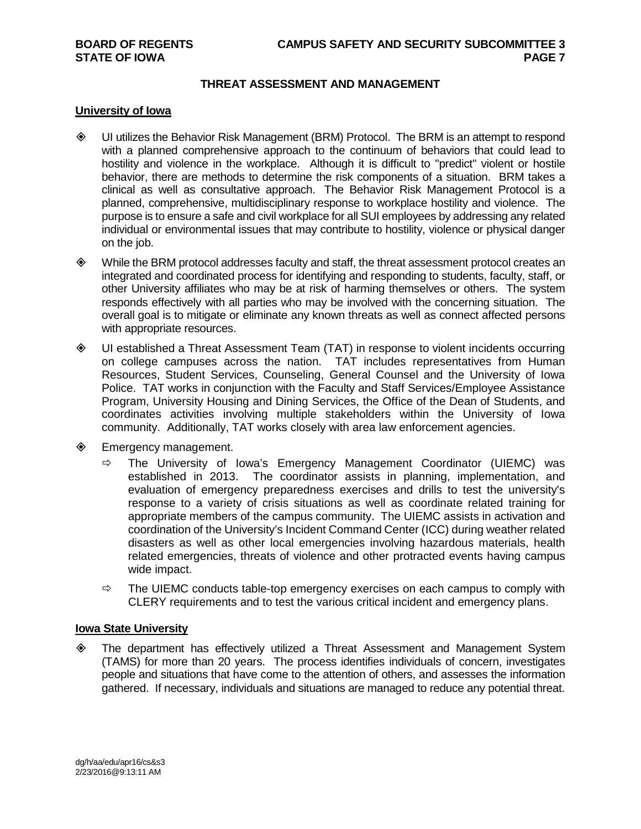#### **THREAT ASSESSMENT AND MANAGEMENT**

#### **University of Iowa**

- UI utilizes the Behavior Risk Management (BRM) Protocol. The BRM is an attempt to respond with a planned comprehensive approach to the continuum of behaviors that could lead to hostility and violence in the workplace. Although it is difficult to "predict" violent or hostile behavior, there are methods to determine the risk components of a situation. BRM takes a clinical as well as consultative approach. The Behavior Risk Management Protocol is a planned, comprehensive, multidisciplinary response to workplace hostility and violence. The purpose is to ensure a safe and civil workplace for all SUI employees by addressing any related individual or environmental issues that may contribute to hostility, violence or physical danger on the job.
- While the BRM protocol addresses faculty and staff, the threat assessment protocol creates an integrated and coordinated process for identifying and responding to students, faculty, staff, or other University affiliates who may be at risk of harming themselves or others. The system responds effectively with all parties who may be involved with the concerning situation. The overall goal is to mitigate or eliminate any known threats as well as connect affected persons with appropriate resources.
- UI established a Threat Assessment Team (TAT) in response to violent incidents occurring on college campuses across the nation. TAT includes representatives from Human Resources, Student Services, Counseling, General Counsel and the University of Iowa Police. TAT works in conjunction with the Faculty and Staff Services/Employee Assistance Program, University Housing and Dining Services, the Office of the Dean of Students, and coordinates activities involving multiple stakeholders within the University of Iowa community. Additionally, TAT works closely with area law enforcement agencies.
- **♦ Emergency management.** 
	- $\Rightarrow$  The University of Iowa's Emergency Management Coordinator (UIEMC) was established in 2013. The coordinator assists in planning, implementation, and evaluation of emergency preparedness exercises and drills to test the university's response to a variety of crisis situations as well as coordinate related training for appropriate members of the campus community. The UIEMC assists in activation and coordination of the University's Incident Command Center (ICC) during weather related disasters as well as other local emergencies involving hazardous materials, health related emergencies, threats of violence and other protracted events having campus wide impact.
	- $\Rightarrow$  The UIEMC conducts table-top emergency exercises on each campus to comply with CLERY requirements and to test the various critical incident and emergency plans.

#### **Iowa State University**

 The department has effectively utilized a Threat Assessment and Management System (TAMS) for more than 20 years. The process identifies individuals of concern, investigates people and situations that have come to the attention of others, and assesses the information gathered. If necessary, individuals and situations are managed to reduce any potential threat.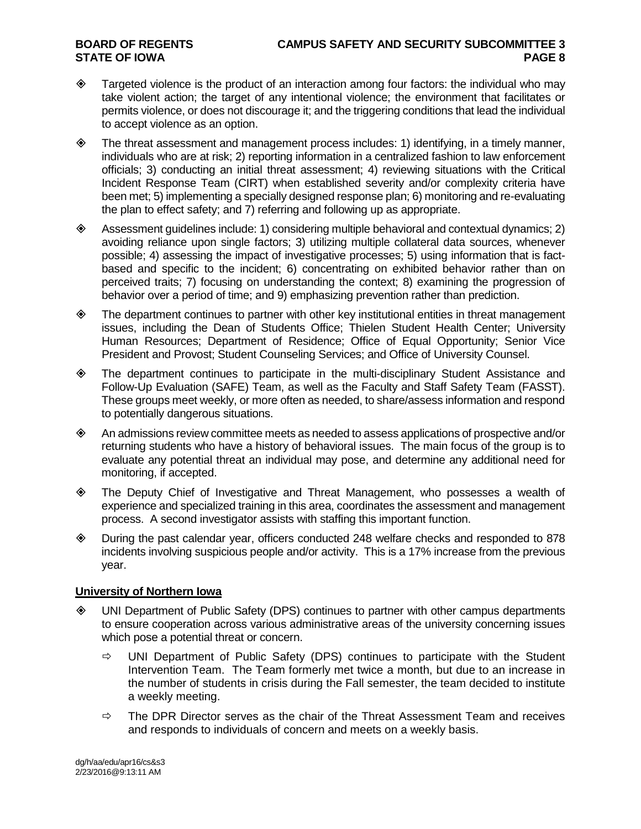### **BOARD OF REGENTS CAMPUS SAFETY AND SECURITY SUBCOMMITTEE 3**

- $\diamond$  Targeted violence is the product of an interaction among four factors: the individual who may take violent action; the target of any intentional violence; the environment that facilitates or permits violence, or does not discourage it; and the triggering conditions that lead the individual to accept violence as an option.
- $\diamond$  The threat assessment and management process includes: 1) identifying, in a timely manner, individuals who are at risk; 2) reporting information in a centralized fashion to law enforcement officials; 3) conducting an initial threat assessment; 4) reviewing situations with the Critical Incident Response Team (CIRT) when established severity and/or complexity criteria have been met; 5) implementing a specially designed response plan; 6) monitoring and re-evaluating the plan to effect safety; and 7) referring and following up as appropriate.
- $\diamond$  Assessment guidelines include: 1) considering multiple behavioral and contextual dynamics; 2) avoiding reliance upon single factors; 3) utilizing multiple collateral data sources, whenever possible; 4) assessing the impact of investigative processes; 5) using information that is factbased and specific to the incident; 6) concentrating on exhibited behavior rather than on perceived traits; 7) focusing on understanding the context; 8) examining the progression of behavior over a period of time; and 9) emphasizing prevention rather than prediction.
- $\diamond$  The department continues to partner with other key institutional entities in threat management issues, including the Dean of Students Office; Thielen Student Health Center; University Human Resources; Department of Residence; Office of Equal Opportunity; Senior Vice President and Provost; Student Counseling Services; and Office of University Counsel.
- The department continues to participate in the multi-disciplinary Student Assistance and Follow-Up Evaluation (SAFE) Team, as well as the Faculty and Staff Safety Team (FASST). These groups meet weekly, or more often as needed, to share/assess information and respond to potentially dangerous situations.
- $\Diamond$  An admissions review committee meets as needed to assess applications of prospective and/or returning students who have a history of behavioral issues. The main focus of the group is to evaluate any potential threat an individual may pose, and determine any additional need for monitoring, if accepted.
- The Deputy Chief of Investigative and Threat Management, who possesses a wealth of experience and specialized training in this area, coordinates the assessment and management process. A second investigator assists with staffing this important function.
- During the past calendar year, officers conducted 248 welfare checks and responded to 878 incidents involving suspicious people and/or activity. This is a 17% increase from the previous year.

#### **University of Northern Iowa**

- UNI Department of Public Safety (DPS) continues to partner with other campus departments to ensure cooperation across various administrative areas of the university concerning issues which pose a potential threat or concern.
	- $\Rightarrow$  UNI Department of Public Safety (DPS) continues to participate with the Student Intervention Team. The Team formerly met twice a month, but due to an increase in the number of students in crisis during the Fall semester, the team decided to institute a weekly meeting.
	- $\Rightarrow$  The DPR Director serves as the chair of the Threat Assessment Team and receives and responds to individuals of concern and meets on a weekly basis.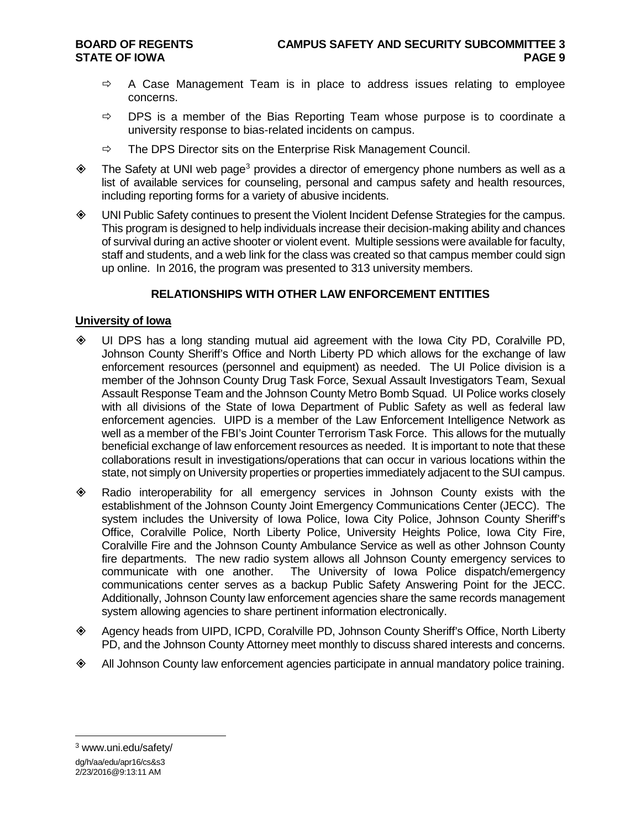- $\Rightarrow$  A Case Management Team is in place to address issues relating to employee concerns.
- $\Rightarrow$  DPS is a member of the Bias Reporting Team whose purpose is to coordinate a university response to bias-related incidents on campus.
- $\Rightarrow$  The DPS Director sits on the Enterprise Risk Management Council.
- $\diamond$  The Safety at UNI web page<sup>[3](#page-8-0)</sup> provides a director of emergency phone numbers as well as a list of available services for counseling, personal and campus safety and health resources, including reporting forms for a variety of abusive incidents.
- UNI Public Safety continues to present the Violent Incident Defense Strategies for the campus. This program is designed to help individuals increase their decision-making ability and chances of survival during an active shooter or violent event. Multiple sessions were available for faculty, staff and students, and a web link for the class was created so that campus member could sign up online. In 2016, the program was presented to 313 university members.

### **RELATIONSHIPS WITH OTHER LAW ENFORCEMENT ENTITIES**

#### **University of Iowa**

- UI DPS has a long standing mutual aid agreement with the Iowa City PD, Coralville PD, Johnson County Sheriff's Office and North Liberty PD which allows for the exchange of law enforcement resources (personnel and equipment) as needed. The UI Police division is a member of the Johnson County Drug Task Force, Sexual Assault Investigators Team, Sexual Assault Response Team and the Johnson County Metro Bomb Squad. UI Police works closely with all divisions of the State of Iowa Department of Public Safety as well as federal law enforcement agencies. UIPD is a member of the Law Enforcement Intelligence Network as well as a member of the FBI's Joint Counter Terrorism Task Force. This allows for the mutually beneficial exchange of law enforcement resources as needed. It is important to note that these collaborations result in investigations/operations that can occur in various locations within the state, not simply on University properties or properties immediately adjacent to the SUI campus.
- Radio interoperability for all emergency services in Johnson County exists with the establishment of the Johnson County Joint Emergency Communications Center (JECC). The system includes the University of Iowa Police, Iowa City Police, Johnson County Sheriff's Office, Coralville Police, North Liberty Police, University Heights Police, Iowa City Fire, Coralville Fire and the Johnson County Ambulance Service as well as other Johnson County fire departments. The new radio system allows all Johnson County emergency services to communicate with one another. The University of Iowa Police dispatch/emergency communications center serves as a backup Public Safety Answering Point for the JECC. Additionally, Johnson County law enforcement agencies share the same records management system allowing agencies to share pertinent information electronically.
- Agency heads from UIPD, ICPD, Coralville PD, Johnson County Sheriff's Office, North Liberty PD, and the Johnson County Attorney meet monthly to discuss shared interests and concerns.
- All Johnson County law enforcement agencies participate in annual mandatory police training.

<span id="page-8-0"></span> <sup>3</sup> www.uni.edu/safety/

dg/h/aa/edu/apr16/cs&s3 2/23/2016@9:13:11 AM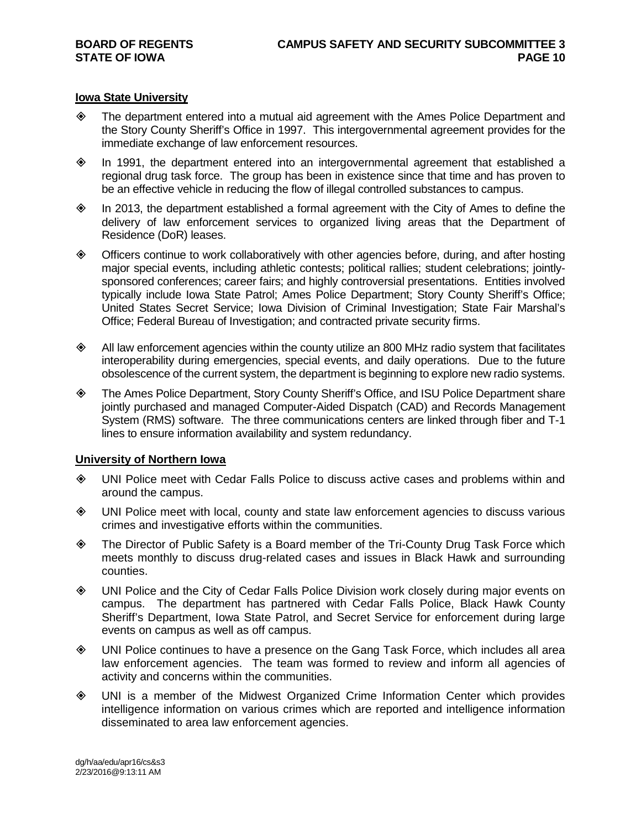#### **Iowa State University**

- The department entered into a mutual aid agreement with the Ames Police Department and the Story County Sheriff's Office in 1997. This intergovernmental agreement provides for the immediate exchange of law enforcement resources.
- In 1991, the department entered into an intergovernmental agreement that established a regional drug task force. The group has been in existence since that time and has proven to be an effective vehicle in reducing the flow of illegal controlled substances to campus.
- $\diamond$  In 2013, the department established a formal agreement with the City of Ames to define the delivery of law enforcement services to organized living areas that the Department of Residence (DoR) leases.
- Officers continue to work collaboratively with other agencies before, during, and after hosting major special events, including athletic contests; political rallies; student celebrations; jointlysponsored conferences; career fairs; and highly controversial presentations. Entities involved typically include Iowa State Patrol; Ames Police Department; Story County Sheriff's Office; United States Secret Service; Iowa Division of Criminal Investigation; State Fair Marshal's Office; Federal Bureau of Investigation; and contracted private security firms.
- $\diamond$  All law enforcement agencies within the county utilize an 800 MHz radio system that facilitates interoperability during emergencies, special events, and daily operations. Due to the future obsolescence of the current system, the department is beginning to explore new radio systems.
- The Ames Police Department, Story County Sheriff's Office, and ISU Police Department share jointly purchased and managed Computer-Aided Dispatch (CAD) and Records Management System (RMS) software. The three communications centers are linked through fiber and T-1 lines to ensure information availability and system redundancy.

#### **University of Northern Iowa**

- UNI Police meet with Cedar Falls Police to discuss active cases and problems within and around the campus.
- UNI Police meet with local, county and state law enforcement agencies to discuss various crimes and investigative efforts within the communities.
- The Director of Public Safety is a Board member of the Tri-County Drug Task Force which meets monthly to discuss drug-related cases and issues in Black Hawk and surrounding counties.
- UNI Police and the City of Cedar Falls Police Division work closely during major events on campus. The department has partnered with Cedar Falls Police, Black Hawk County Sheriff's Department, Iowa State Patrol, and Secret Service for enforcement during large events on campus as well as off campus.
- UNI Police continues to have a presence on the Gang Task Force, which includes all area law enforcement agencies. The team was formed to review and inform all agencies of activity and concerns within the communities.
- UNI is a member of the Midwest Organized Crime Information Center which provides intelligence information on various crimes which are reported and intelligence information disseminated to area law enforcement agencies.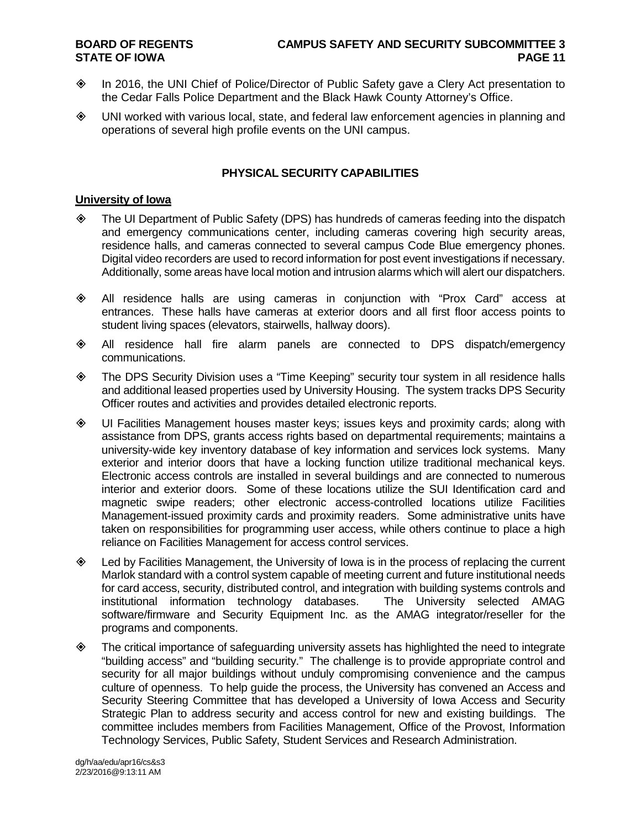- In 2016, the UNI Chief of Police/Director of Public Safety gave a Clery Act presentation to the Cedar Falls Police Department and the Black Hawk County Attorney's Office.
- UNI worked with various local, state, and federal law enforcement agencies in planning and operations of several high profile events on the UNI campus.

#### **PHYSICAL SECURITY CAPABILITIES**

#### **University of Iowa**

- The UI Department of Public Safety (DPS) has hundreds of cameras feeding into the dispatch and emergency communications center, including cameras covering high security areas, residence halls, and cameras connected to several campus Code Blue emergency phones. Digital video recorders are used to record information for post event investigations if necessary. Additionally, some areas have local motion and intrusion alarms which will alert our dispatchers.
- All residence halls are using cameras in conjunction with "Prox Card" access at entrances. These halls have cameras at exterior doors and all first floor access points to student living spaces (elevators, stairwells, hallway doors).
- All residence hall fire alarm panels are connected to DPS dispatch/emergency communications.
- The DPS Security Division uses a "Time Keeping" security tour system in all residence halls and additional leased properties used by University Housing. The system tracks DPS Security Officer routes and activities and provides detailed electronic reports.
- UI Facilities Management houses master keys; issues keys and proximity cards; along with assistance from DPS, grants access rights based on departmental requirements; maintains a university-wide key inventory database of key information and services lock systems. Many exterior and interior doors that have a locking function utilize traditional mechanical keys. Electronic access controls are installed in several buildings and are connected to numerous interior and exterior doors. Some of these locations utilize the SUI Identification card and magnetic swipe readers; other electronic access-controlled locations utilize Facilities Management-issued proximity cards and proximity readers. Some administrative units have taken on responsibilities for programming user access, while others continue to place a high reliance on Facilities Management for access control services.
- Led by Facilities Management, the University of Iowa is in the process of replacing the current Marlok standard with a control system capable of meeting current and future institutional needs for card access, security, distributed control, and integration with building systems controls and institutional information technology databases. The University selected AMAG software/firmware and Security Equipment Inc. as the AMAG integrator/reseller for the programs and components.
- The critical importance of safeguarding university assets has highlighted the need to integrate "building access" and "building security." The challenge is to provide appropriate control and security for all major buildings without unduly compromising convenience and the campus culture of openness. To help guide the process, the University has convened an Access and Security Steering Committee that has developed a University of Iowa Access and Security Strategic Plan to address security and access control for new and existing buildings. The committee includes members from Facilities Management, Office of the Provost, Information Technology Services, Public Safety, Student Services and Research Administration.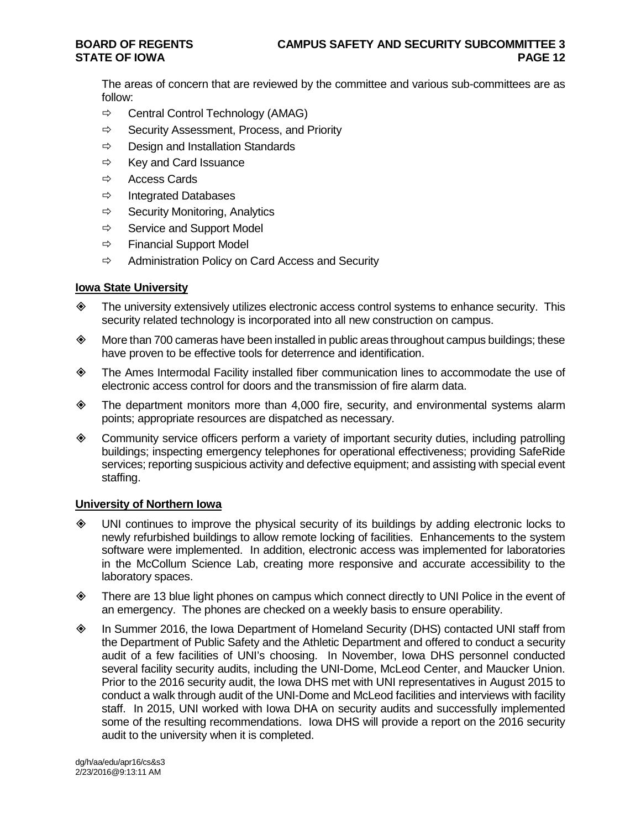The areas of concern that are reviewed by the committee and various sub-committees are as follow:

- $\Rightarrow$  Central Control Technology (AMAG)
- $\Rightarrow$  Security Assessment, Process, and Priority
- $\Rightarrow$  Design and Installation Standards
- $\Rightarrow$  Key and Card Issuance
- $\Leftrightarrow$  Access Cards
- $\Rightarrow$  Integrated Databases
- $\Rightarrow$  Security Monitoring, Analytics
- $\Rightarrow$  Service and Support Model
- $\Rightarrow$  Financial Support Model
- $\Rightarrow$  Administration Policy on Card Access and Security

#### **Iowa State University**

- $\diamond$  The university extensively utilizes electronic access control systems to enhance security. This security related technology is incorporated into all new construction on campus.
- $\diamond$  More than 700 cameras have been installed in public areas throughout campus buildings; these have proven to be effective tools for deterrence and identification.
- The Ames Intermodal Facility installed fiber communication lines to accommodate the use of electronic access control for doors and the transmission of fire alarm data.
- The department monitors more than 4,000 fire, security, and environmental systems alarm points; appropriate resources are dispatched as necessary.
- Community service officers perform a variety of important security duties, including patrolling buildings; inspecting emergency telephones for operational effectiveness; providing SafeRide services; reporting suspicious activity and defective equipment; and assisting with special event staffing.

#### **University of Northern Iowa**

- UNI continues to improve the physical security of its buildings by adding electronic locks to newly refurbished buildings to allow remote locking of facilities. Enhancements to the system software were implemented. In addition, electronic access was implemented for laboratories in the McCollum Science Lab, creating more responsive and accurate accessibility to the laboratory spaces.
- There are 13 blue light phones on campus which connect directly to UNI Police in the event of an emergency. The phones are checked on a weekly basis to ensure operability.
- In Summer 2016, the Iowa Department of Homeland Security (DHS) contacted UNI staff from the Department of Public Safety and the Athletic Department and offered to conduct a security audit of a few facilities of UNI's choosing. In November, Iowa DHS personnel conducted several facility security audits, including the UNI-Dome, McLeod Center, and Maucker Union. Prior to the 2016 security audit, the Iowa DHS met with UNI representatives in August 2015 to conduct a walk through audit of the UNI-Dome and McLeod facilities and interviews with facility staff. In 2015, UNI worked with Iowa DHA on security audits and successfully implemented some of the resulting recommendations. Iowa DHS will provide a report on the 2016 security audit to the university when it is completed.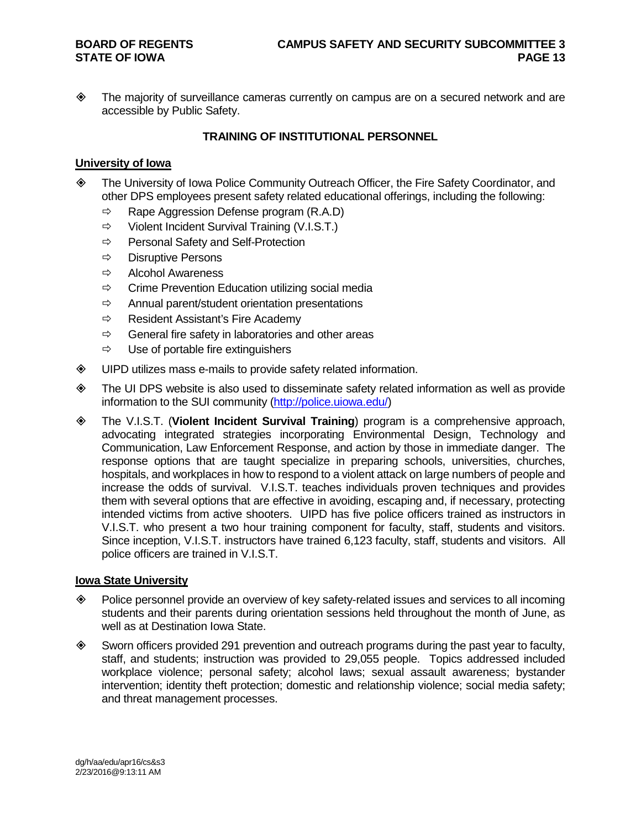The majority of surveillance cameras currently on campus are on a secured network and are accessible by Public Safety.

#### **TRAINING OF INSTITUTIONAL PERSONNEL**

#### **University of Iowa**

- The University of Iowa Police Community Outreach Officer, the Fire Safety Coordinator, and other DPS employees present safety related educational offerings, including the following:
	- $\Rightarrow$  Rape Aggression Defense program (R.A.D)
	- $\Rightarrow$  Violent Incident Survival Training (V.I.S.T.)
	- $\Rightarrow$  Personal Safety and Self-Protection
	- $\Rightarrow$  Disruptive Persons
	- $\Rightarrow$  Alcohol Awareness
	- $\Rightarrow$  Crime Prevention Education utilizing social media
	- $\Rightarrow$  Annual parent/student orientation presentations
	- $\Rightarrow$  Resident Assistant's Fire Academy
	- $\Rightarrow$  General fire safety in laboratories and other areas
	- $\Rightarrow$  Use of portable fire extinguishers
- UIPD utilizes mass e-mails to provide safety related information.
- The UI DPS website is also used to disseminate safety related information as well as provide information to the SUI community [\(http://police.uiowa.edu/\)](http://police.uiowa.edu/)
- The V.I.S.T. (**Violent Incident Survival Training**) program is a comprehensive approach, advocating integrated strategies incorporating Environmental Design, Technology and Communication, Law Enforcement Response, and action by those in immediate danger. The response options that are taught specialize in preparing schools, universities, churches, hospitals, and workplaces in how to respond to a violent attack on large numbers of people and increase the odds of survival. V.I.S.T. teaches individuals proven techniques and provides them with several options that are effective in avoiding, escaping and, if necessary, protecting intended victims from active shooters. UIPD has five police officers trained as instructors in V.I.S.T. who present a two hour training component for faculty, staff, students and visitors. Since inception, V.I.S.T. instructors have trained 6,123 faculty, staff, students and visitors. All police officers are trained in V.I.S.T.

#### **Iowa State University**

- Police personnel provide an overview of key safety-related issues and services to all incoming students and their parents during orientation sessions held throughout the month of June, as well as at Destination Iowa State.
- $\diamond$  Sworn officers provided 291 prevention and outreach programs during the past year to faculty, staff, and students; instruction was provided to 29,055 people. Topics addressed included workplace violence; personal safety; alcohol laws; sexual assault awareness; bystander intervention; identity theft protection; domestic and relationship violence; social media safety; and threat management processes.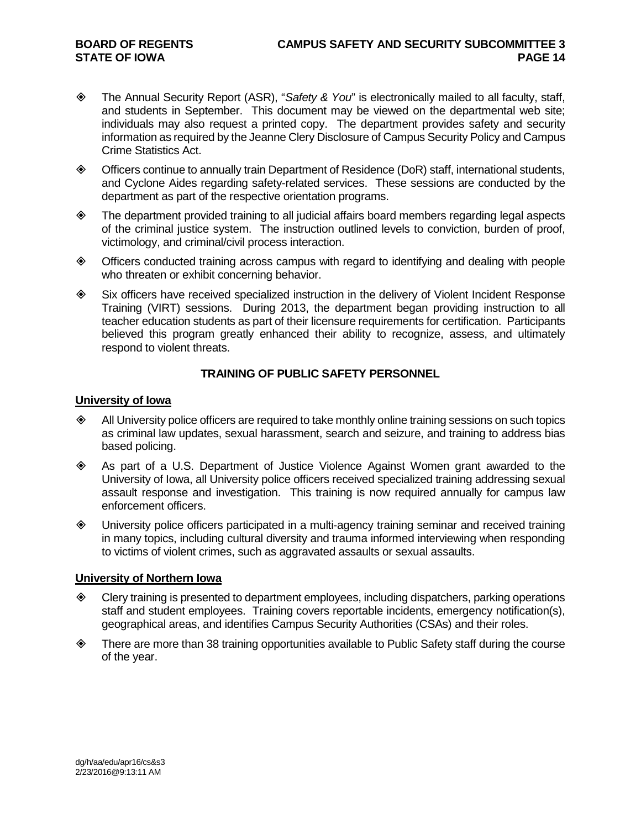- The Annual Security Report (ASR), "*Safety & You*" is electronically mailed to all faculty, staff, and students in September. This document may be viewed on the departmental web site; individuals may also request a printed copy. The department provides safety and security information as required by the Jeanne Clery Disclosure of Campus Security Policy and Campus Crime Statistics Act.
- Officers continue to annually train Department of Residence (DoR) staff, international students, and Cyclone Aides regarding safety-related services. These sessions are conducted by the department as part of the respective orientation programs.
- The department provided training to all judicial affairs board members regarding legal aspects of the criminal justice system. The instruction outlined levels to conviction, burden of proof, victimology, and criminal/civil process interaction.
- Officers conducted training across campus with regard to identifying and dealing with people who threaten or exhibit concerning behavior.
- Six officers have received specialized instruction in the delivery of Violent Incident Response Training (VIRT) sessions. During 2013, the department began providing instruction to all teacher education students as part of their licensure requirements for certification. Participants believed this program greatly enhanced their ability to recognize, assess, and ultimately respond to violent threats.

### **TRAINING OF PUBLIC SAFETY PERSONNEL**

#### **University of Iowa**

- All University police officers are required to take monthly online training sessions on such topics as criminal law updates, sexual harassment, search and seizure, and training to address bias based policing.
- As part of a U.S. Department of Justice Violence Against Women grant awarded to the University of Iowa, all University police officers received specialized training addressing sexual assault response and investigation. This training is now required annually for campus law enforcement officers.
- University police officers participated in a multi-agency training seminar and received training in many topics, including cultural diversity and trauma informed interviewing when responding to victims of violent crimes, such as aggravated assaults or sexual assaults.

#### **University of Northern Iowa**

- Clery training is presented to department employees, including dispatchers, parking operations staff and student employees. Training covers reportable incidents, emergency notification(s), geographical areas, and identifies Campus Security Authorities (CSAs) and their roles.
- $\diamond$  There are more than 38 training opportunities available to Public Safety staff during the course of the year.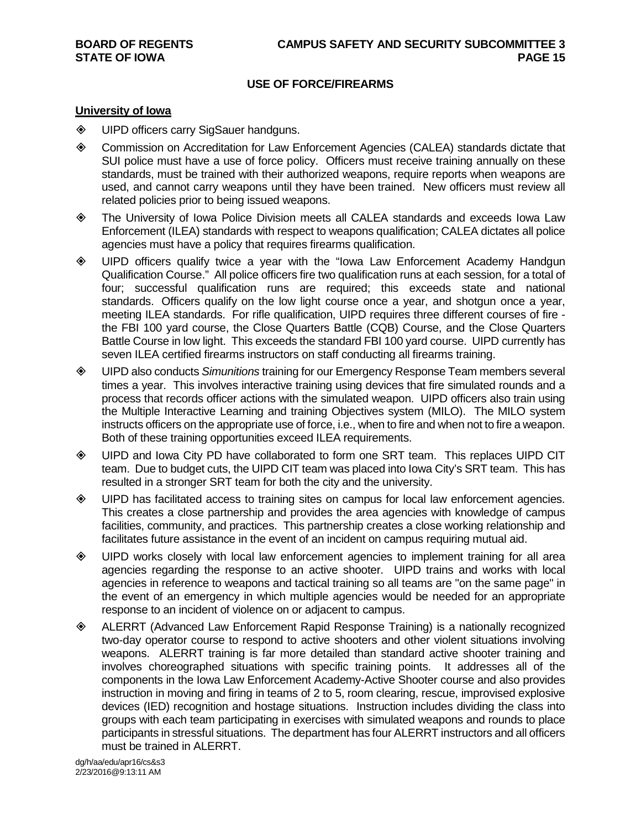#### **USE OF FORCE/FIREARMS**

#### **University of Iowa**

- **♦ UIPD officers carry SigSauer handguns.**
- Commission on Accreditation for Law Enforcement Agencies (CALEA) standards dictate that SUI police must have a use of force policy. Officers must receive training annually on these standards, must be trained with their authorized weapons, require reports when weapons are used, and cannot carry weapons until they have been trained. New officers must review all related policies prior to being issued weapons.
- The University of Iowa Police Division meets all CALEA standards and exceeds Iowa Law Enforcement (ILEA) standards with respect to weapons qualification; CALEA dictates all police agencies must have a policy that requires firearms qualification.
- UIPD officers qualify twice a year with the "Iowa Law Enforcement Academy Handgun Qualification Course." All police officers fire two qualification runs at each session, for a total of four; successful qualification runs are required; this exceeds state and national standards. Officers qualify on the low light course once a year, and shotgun once a year, meeting ILEA standards. For rifle qualification, UIPD requires three different courses of fire the FBI 100 yard course, the Close Quarters Battle (CQB) Course, and the Close Quarters Battle Course in low light. This exceeds the standard FBI 100 yard course. UIPD currently has seven ILEA certified firearms instructors on staff conducting all firearms training.
- UIPD also conducts *Simunitions* training for our Emergency Response Team members several times a year. This involves interactive training using devices that fire simulated rounds and a process that records officer actions with the simulated weapon. UIPD officers also train using the Multiple Interactive Learning and training Objectives system (MILO). The MILO system instructs officers on the appropriate use of force, i.e., when to fire and when not to fire a weapon. Both of these training opportunities exceed ILEA requirements.
- UIPD and Iowa City PD have collaborated to form one SRT team. This replaces UIPD CIT team. Due to budget cuts, the UIPD CIT team was placed into Iowa City's SRT team. This has resulted in a stronger SRT team for both the city and the university.
- UIPD has facilitated access to training sites on campus for local law enforcement agencies. This creates a close partnership and provides the area agencies with knowledge of campus facilities, community, and practices. This partnership creates a close working relationship and facilitates future assistance in the event of an incident on campus requiring mutual aid.
- UIPD works closely with local law enforcement agencies to implement training for all area agencies regarding the response to an active shooter. UIPD trains and works with local agencies in reference to weapons and tactical training so all teams are "on the same page" in the event of an emergency in which multiple agencies would be needed for an appropriate response to an incident of violence on or adjacent to campus.
- ALERRT (Advanced Law Enforcement Rapid Response Training) is a nationally recognized two-day operator course to respond to active shooters and other violent situations involving weapons. ALERRT training is far more detailed than standard active shooter training and involves choreographed situations with specific training points. It addresses all of the components in the Iowa Law Enforcement Academy-Active Shooter course and also provides instruction in moving and firing in teams of 2 to 5, room clearing, rescue, improvised explosive devices (IED) recognition and hostage situations. Instruction includes dividing the class into groups with each team participating in exercises with simulated weapons and rounds to place participants in stressful situations. The department has four ALERRT instructors and all officers must be trained in ALERRT.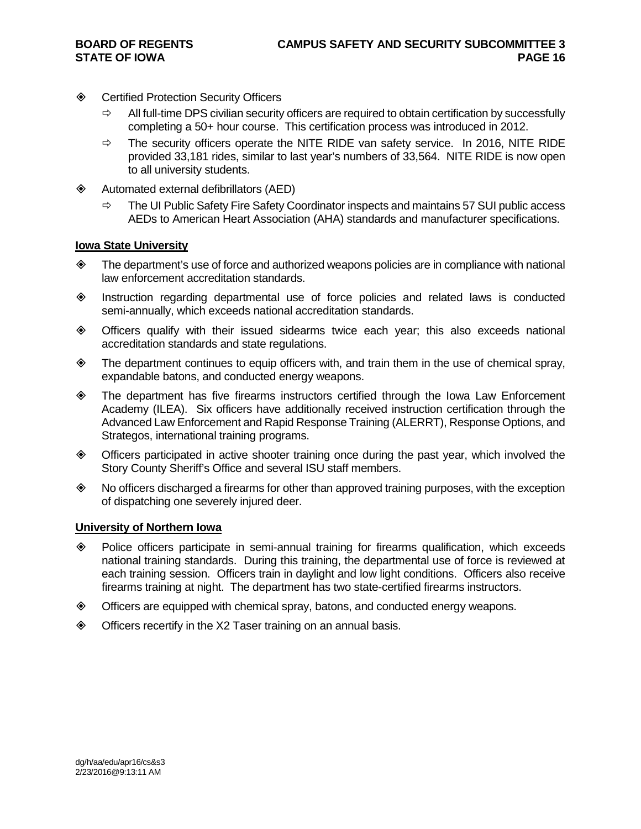- **♦ Certified Protection Security Officers** 
	- $\Rightarrow$  All full-time DPS civilian security officers are required to obtain certification by successfully completing a 50+ hour course. This certification process was introduced in 2012.
	- $\Rightarrow$  The security officers operate the NITE RIDE van safety service. In 2016, NITE RIDE provided 33,181 rides, similar to last year's numbers of 33,564. NITE RIDE is now open to all university students.
- Automated external defibrillators (AED)
	- $\Rightarrow$  The UI Public Safety Fire Safety Coordinator inspects and maintains 57 SUI public access AEDs to American Heart Association (AHA) standards and manufacturer specifications.

#### **Iowa State University**

- $\diamond$  The department's use of force and authorized weapons policies are in compliance with national law enforcement accreditation standards.
- Instruction regarding departmental use of force policies and related laws is conducted semi-annually, which exceeds national accreditation standards.
- Officers qualify with their issued sidearms twice each year; this also exceeds national accreditation standards and state regulations.
- $\diamond$  The department continues to equip officers with, and train them in the use of chemical spray, expandable batons, and conducted energy weapons.
- The department has five firearms instructors certified through the Iowa Law Enforcement Academy (ILEA). Six officers have additionally received instruction certification through the Advanced Law Enforcement and Rapid Response Training (ALERRT), Response Options, and Strategos, international training programs.
- Officers participated in active shooter training once during the past year, which involved the Story County Sheriff's Office and several ISU staff members.
- $\diamond$  No officers discharged a firearms for other than approved training purposes, with the exception of dispatching one severely injured deer.

#### **University of Northern Iowa**

- Police officers participate in semi-annual training for firearms qualification, which exceeds national training standards. During this training, the departmental use of force is reviewed at each training session. Officers train in daylight and low light conditions. Officers also receive firearms training at night. The department has two state-certified firearms instructors.
- Officers are equipped with chemical spray, batons, and conducted energy weapons.
- ◆ Officers recertify in the X2 Taser training on an annual basis.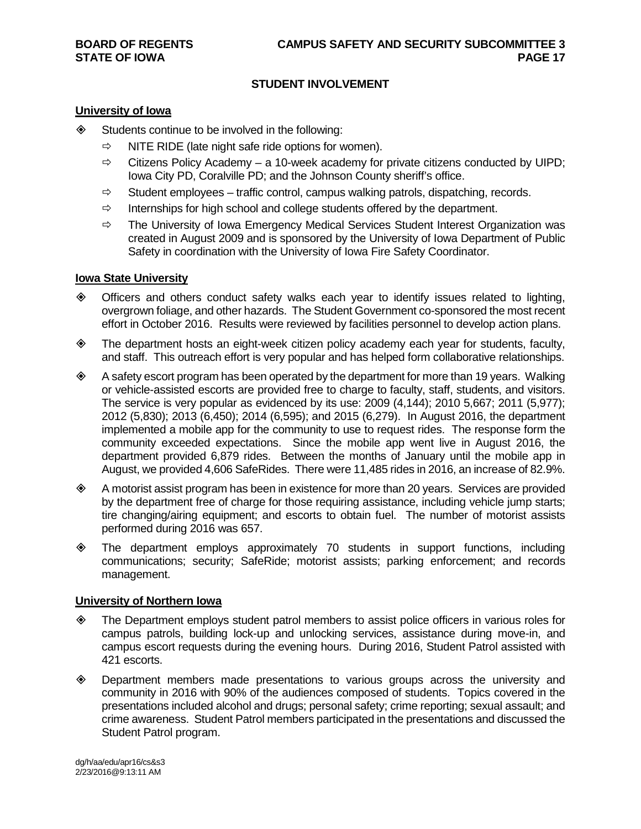#### **STUDENT INVOLVEMENT**

#### **University of Iowa**

 $\diamond$  Students continue to be involved in the following:

- NITE RIDE (late night safe ride options for women).
- $\Rightarrow$  Citizens Policy Academy a 10-week academy for private citizens conducted by UIPD: Iowa City PD, Coralville PD; and the Johnson County sheriff's office.
- $\Rightarrow$  Student employees traffic control, campus walking patrols, dispatching, records.
- $\Rightarrow$  Internships for high school and college students offered by the department.
- $\Rightarrow$  The University of Iowa Emergency Medical Services Student Interest Organization was created in August 2009 and is sponsored by the University of Iowa Department of Public Safety in coordination with the University of Iowa Fire Safety Coordinator.

#### **Iowa State University**

- Officers and others conduct safety walks each year to identify issues related to lighting, overgrown foliage, and other hazards. The Student Government co-sponsored the most recent effort in October 2016. Results were reviewed by facilities personnel to develop action plans.
- The department hosts an eight-week citizen policy academy each year for students, faculty, and staff. This outreach effort is very popular and has helped form collaborative relationships.
- $\diamond$  A safety escort program has been operated by the department for more than 19 years. Walking or vehicle-assisted escorts are provided free to charge to faculty, staff, students, and visitors. The service is very popular as evidenced by its use: 2009 (4,144); 2010 5,667; 2011 (5,977); 2012 (5,830); 2013 (6,450); 2014 (6,595); and 2015 (6,279). In August 2016, the department implemented a mobile app for the community to use to request rides. The response form the community exceeded expectations. Since the mobile app went live in August 2016, the department provided 6,879 rides. Between the months of January until the mobile app in August, we provided 4,606 SafeRides. There were 11,485 rides in 2016, an increase of 82.9%.
- A motorist assist program has been in existence for more than 20 years. Services are provided by the department free of charge for those requiring assistance, including vehicle jump starts; tire changing/airing equipment; and escorts to obtain fuel. The number of motorist assists performed during 2016 was 657.
- The department employs approximately 70 students in support functions, including communications; security; SafeRide; motorist assists; parking enforcement; and records management.

#### **University of Northern Iowa**

- The Department employs student patrol members to assist police officers in various roles for campus patrols, building lock-up and unlocking services, assistance during move-in, and campus escort requests during the evening hours. During 2016, Student Patrol assisted with 421 escorts.
- Department members made presentations to various groups across the university and community in 2016 with 90% of the audiences composed of students. Topics covered in the presentations included alcohol and drugs; personal safety; crime reporting; sexual assault; and crime awareness. Student Patrol members participated in the presentations and discussed the Student Patrol program.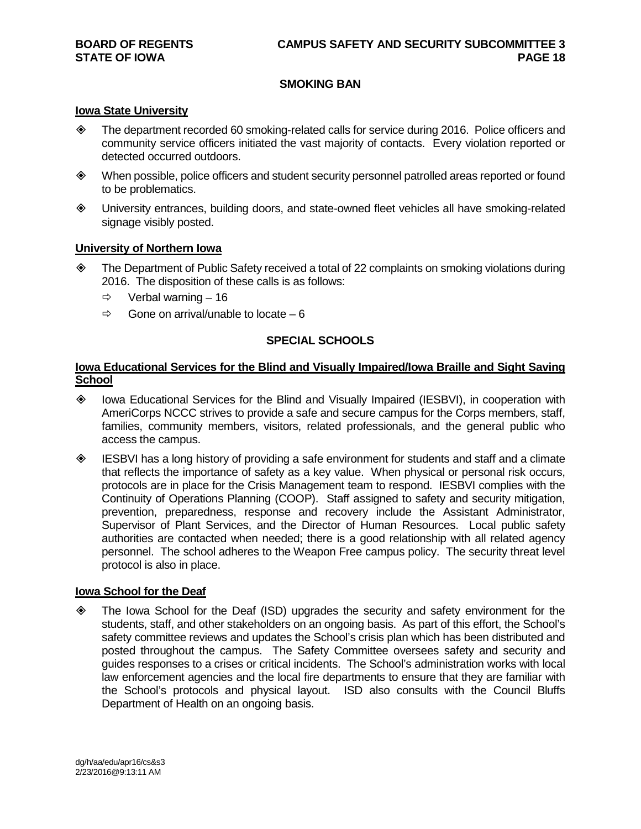#### **SMOKING BAN**

#### **Iowa State University**

- The department recorded 60 smoking-related calls for service during 2016. Police officers and community service officers initiated the vast majority of contacts. Every violation reported or detected occurred outdoors.
- When possible, police officers and student security personnel patrolled areas reported or found to be problematics.
- University entrances, building doors, and state-owned fleet vehicles all have smoking-related signage visibly posted.

#### **University of Northern Iowa**

- The Department of Public Safety received a total of 22 complaints on smoking violations during 2016. The disposition of these calls is as follows:
	- $\Rightarrow$  Verbal warning 16
	- $\Rightarrow$  Gone on arrival/unable to locate 6

#### **SPECIAL SCHOOLS**

#### **Iowa Educational Services for the Blind and Visually Impaired/Iowa Braille and Sight Saving School**

- Iowa Educational Services for the Blind and Visually Impaired (IESBVI), in cooperation with AmeriCorps NCCC strives to provide a safe and secure campus for the Corps members, staff, families, community members, visitors, related professionals, and the general public who access the campus.
- IESBVI has a long history of providing a safe environment for students and staff and a climate that reflects the importance of safety as a key value. When physical or personal risk occurs, protocols are in place for the Crisis Management team to respond. IESBVI complies with the Continuity of Operations Planning (COOP). Staff assigned to safety and security mitigation, prevention, preparedness, response and recovery include the Assistant Administrator, Supervisor of Plant Services, and the Director of Human Resources. Local public safety authorities are contacted when needed; there is a good relationship with all related agency personnel. The school adheres to the Weapon Free campus policy. The security threat level protocol is also in place.

#### **Iowa School for the Deaf**

 The Iowa School for the Deaf (ISD) upgrades the security and safety environment for the students, staff, and other stakeholders on an ongoing basis. As part of this effort, the School's safety committee reviews and updates the School's crisis plan which has been distributed and posted throughout the campus. The Safety Committee oversees safety and security and guides responses to a crises or critical incidents. The School's administration works with local law enforcement agencies and the local fire departments to ensure that they are familiar with the School's protocols and physical layout. ISD also consults with the Council Bluffs Department of Health on an ongoing basis.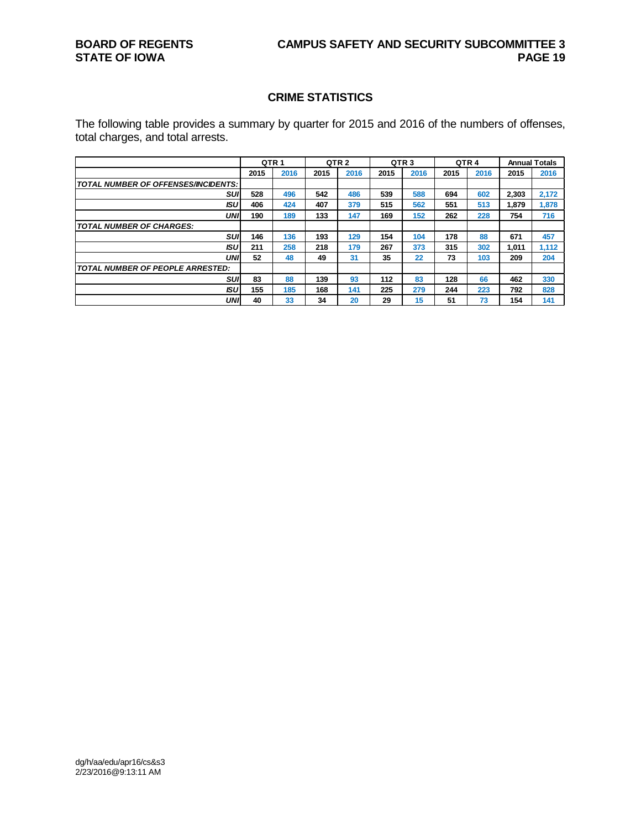#### **CRIME STATISTICS**

The following table provides a summary by quarter for 2015 and 2016 of the numbers of offenses, total charges, and total arrests.

|                                         |      | QTR <sub>1</sub> |      | QTR <sub>2</sub> |      | QTR <sub>3</sub> |      | QTR <sub>4</sub> |       | <b>Annual Totals</b> |
|-----------------------------------------|------|------------------|------|------------------|------|------------------|------|------------------|-------|----------------------|
|                                         | 2015 | 2016             | 2015 | 2016             | 2015 | 2016             | 2015 | 2016             | 2015  | 2016                 |
| TOTAL NUMBER OF OFFENSES/INCIDENTS:     |      |                  |      |                  |      |                  |      |                  |       |                      |
| suı                                     | 528  | 496              | 542  | 486              | 539  | 588              | 694  | 602              | 2,303 | 2,172                |
| ISU                                     | 406  | 424              | 407  | 379              | 515  | 562              | 551  | 513              | 1,879 | 1,878                |
| <b>UNI</b>                              | 190  | 189              | 133  | 147              | 169  | 152              | 262  | 228              | 754   | 716                  |
| <b>TOTAL NUMBER OF CHARGES:</b>         |      |                  |      |                  |      |                  |      |                  |       |                      |
| <b>SUI</b>                              | 146  | 136              | 193  | 129              | 154  | 104              | 178  | 88               | 671   | 457                  |
| <b>ISU</b>                              | 211  | 258              | 218  | 179              | 267  | 373              | 315  | 302              | 1.011 | 1.112                |
| UNI                                     | 52   | 48               | 49   | 31               | 35   | 22               | 73   | 103              | 209   | 204                  |
| <b>TOTAL NUMBER OF PEOPLE ARRESTED:</b> |      |                  |      |                  |      |                  |      |                  |       |                      |
| <b>SUI</b>                              | 83   | 88               | 139  | 93               | 112  | 83               | 128  | 66               | 462   | 330                  |
| ISU                                     | 155  | 185              | 168  | 141              | 225  | 279              | 244  | 223              | 792   | 828                  |
| <b>UNI</b>                              | 40   | 33               | 34   | 20               | 29   | 15               | 51   | 73               | 154   | 141                  |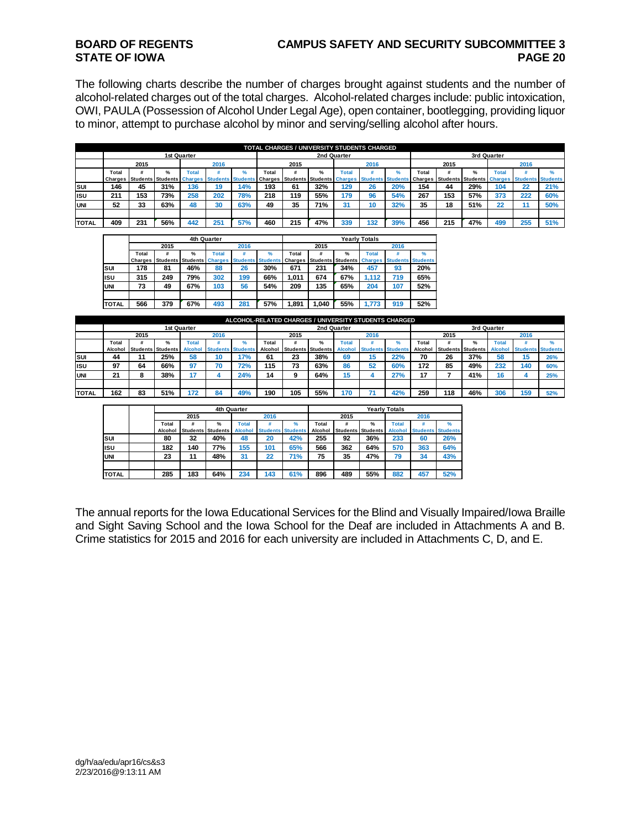### **BOARD OF REGENTS CAMPUS SAFETY AND SECURITY SUBCOMMITTEE 3**

The following charts describe the number of charges brought against students and the number of alcohol-related charges out of the total charges. Alcohol-related charges include: public intoxication, OWI, PAULA (Possession of Alcohol Under Legal Age), open container, bootlegging, providing liquor to minor, attempt to purchase alcohol by minor and serving/selling alcohol after hours.

|               |         |      |               |              |      |     |       |      | TOTAL CHARGES / UNIVERSITY STUDENTS CHARGED                                                                                                                                            |             |      |               |       |      |               |              |      |               |
|---------------|---------|------|---------------|--------------|------|-----|-------|------|----------------------------------------------------------------------------------------------------------------------------------------------------------------------------------------|-------------|------|---------------|-------|------|---------------|--------------|------|---------------|
|               |         |      |               | 1st Quarter  |      |     |       |      |                                                                                                                                                                                        | 2nd Quarter |      |               |       |      |               | 3rd Quarter  |      |               |
|               |         | 2015 |               |              | 2016 |     |       | 2015 |                                                                                                                                                                                        |             | 2016 |               |       | 2015 |               |              | 2016 |               |
|               | Total   |      | $\frac{9}{6}$ | <b>Total</b> |      |     | Total |      | $\frac{9}{6}$                                                                                                                                                                          | Total       |      | $\frac{9}{6}$ | Total |      | $\frac{9}{6}$ | <b>Total</b> |      | $\frac{0}{6}$ |
|               | Charges |      |               |              |      |     |       |      | Students Students Charges Students Students Charges Students Students Charges Students Students Charges Students Students Charges Students Charges Students Students Students Students |             |      |               |       |      |               |              |      |               |
| <b>SUI</b>    | 146     | 45   | 31%           | 136          | 19   | 14% | 193   | 61   | 32%                                                                                                                                                                                    | 129         | 26   | 20%           | 154   | 44   | 29%           | 104          | 22   | 21%           |
| lısu          | 211     | 153  | 73%           | 258          | 202  | 78% | 218   | 119  | 55%                                                                                                                                                                                    | 179         | 96   | 54%           | 267   | 153  | 57%           | 373          | 222  | 60%           |
| <b>IUNI</b>   | 52      | 33   | 63%           | 48           | 30   | 63% | 49    | 35   | 71%                                                                                                                                                                                    | 31          | 10   | 32%           | 35    | 18   | 51%           | 22           |      | 50%           |
|               |         |      |               |              |      |     |       |      |                                                                                                                                                                                        |             |      |               |       |      |               |              |      |               |
| <b>ITOTAL</b> | 409     | 231  | 56%           | 442          | 25'  | 57% | 460   | 215  | 47%                                                                                                                                                                                    | 339         | 132  | 39%           | 456   | 215  | 47%           | 499          | 255  | 51%           |

|                | 2015 |               |       | 2016        |                           |       | 2015                                |               |                 | 2016                                    |                                  |
|----------------|------|---------------|-------|-------------|---------------------------|-------|-------------------------------------|---------------|-----------------|-----------------------------------------|----------------------------------|
| Total          | #    | $\frac{9}{6}$ | Total |             | %                         | Total | #                                   | $\frac{9}{6}$ | <b>Total</b>    | #                                       | %                                |
| <b>Charges</b> |      |               |       |             |                           |       |                                     |               |                 |                                         |                                  |
| 178            | 81   | 46%           | 88    | 26          | 30%                       | 671   | 231                                 | 34%           | 457             | 93                                      | 20%                              |
| 315            | 249  | 79%           | 302   | 199         | 66%                       | 1.011 | 674                                 | 67%           | 1.112           | 719                                     | 65%                              |
| 73             | 49   | 67%           | 103   | 56          | 54%                       | 209   | 135                                 | 65%           | 204             | 107                                     | 52%                              |
|                |      |               |       |             |                           |       |                                     |               |                 |                                         |                                  |
| 566            | 379  | 67%           | 493   | 281         | 57%                       | 1,891 | 1.040                               | 55%           | 1.773           | 919                                     | 52%                              |
|                |      |               |       | 4th Quarter | Students Students Charges |       | <b>Students Students</b><br>Charges |               | <b>Students</b> | <b>Yearly Totals</b><br><b>Students</b> | <b>Charges Students Students</b> |

|              |         |      |                          |                |                          |     |         |      |                   |                |      | ALCOHOL-RELATED CHARGES / UNIVERSITY STUDENTS CHARGED |         |      |                   |                |      |                          |
|--------------|---------|------|--------------------------|----------------|--------------------------|-----|---------|------|-------------------|----------------|------|-------------------------------------------------------|---------|------|-------------------|----------------|------|--------------------------|
|              |         |      |                          | 1st Quarter    |                          |     |         |      | 2nd Quarter       |                |      |                                                       |         |      |                   | 3rd Quarter    |      |                          |
|              |         | 2015 |                          |                | 2016                     |     |         | 2015 |                   |                | 2016 |                                                       |         | 2015 |                   |                | 2016 |                          |
|              | Total   |      | $\frac{9}{6}$            | Total          |                          |     | Total   |      | ℀                 | <b>Total</b>   |      |                                                       | Total   |      |                   | Total          |      |                          |
|              | Alcohol |      | <b>Students Students</b> | <b>Alcohol</b> | <b>Students Students</b> |     | Alcohol |      | Students Students | <b>Alcohol</b> |      | <b>Students Students</b>                              | Alcohol |      | Students Students | <b>Alcohol</b> |      | <b>Students Students</b> |
| <b>SUI</b>   | 44      | 11   | 25%                      | 58             | 10                       | 17% | 61      | 23   | 38%               | 69             | 15   | 22%                                                   | 70      | 26   | 37%               | 58             | 15   | 26%                      |
| <b>ISU</b>   | 97      | 64   | 66%                      | 97             | 70                       | 72% | 115     | 73   | 63%               | 86             | 52   | 60%                                                   | 172     | 85   | 49%               | 232            | 140  | 60%                      |
| <b>IUNI</b>  | 21      | 8    | 38%                      | 17             |                          | 24% | 14      |      | 64%               | 15             |      | 27%                                                   | 17      |      | 41%               |                |      | 25%                      |
|              |         |      |                          |                |                          |     |         |      |                   |                |      |                                                       |         |      |                   |                |      |                          |
| <b>TOTAL</b> | 162     | 83   | 51%                      | 172            | 84                       | 49% | 190     | 105  | 55%               | 170            |      | <b>42%</b>                                            | 259     | 118  | 46%               | 306            | 159  | 52%                      |

|              |         |      | 4th Quarter              |                |                          |     |         |      |                          | <b>Yearly Totals</b> |      |                          |
|--------------|---------|------|--------------------------|----------------|--------------------------|-----|---------|------|--------------------------|----------------------|------|--------------------------|
|              |         | 2015 |                          |                | 2016                     |     |         | 2015 |                          |                      | 2016 |                          |
|              | Total   |      | %                        | Total          |                          | ℀   | Total   | #    | %                        | Total                |      | %                        |
|              | Alcohol |      | <b>Students Students</b> | <b>Alcohol</b> | <b>Students Students</b> |     | Alcohol |      | <b>Students Students</b> | <b>Alcohol</b>       |      | <b>Students Students</b> |
| Isuı         | 80      | 32   | 40%                      | 48             | 20                       | 42% | 255     | 92   | 36%                      | 233                  | 60   | 26%                      |
| lisu         | 182     | 140  | 77%                      | 155            | 101                      | 65% | 566     | 362  | 64%                      | 570                  | 363  | 64%                      |
| <b>UNI</b>   | 23      | 11   | 48%                      | 31             | 22                       | 71% | 75      | 35   | 47%                      | 79                   | 34   | 43%                      |
|              |         |      |                          |                |                          |     |         |      |                          |                      |      |                          |
| <b>TOTAL</b> | 285     | 183  | 64%                      | 234            | 143                      | 61% | 896     | 489  | 55%                      | 882                  | 457  | 52%                      |

The annual reports for the Iowa Educational Services for the Blind and Visually Impaired/Iowa Braille and Sight Saving School and the Iowa School for the Deaf are included in Attachments A and B. Crime statistics for 2015 and 2016 for each university are included in Attachments C, D, and E.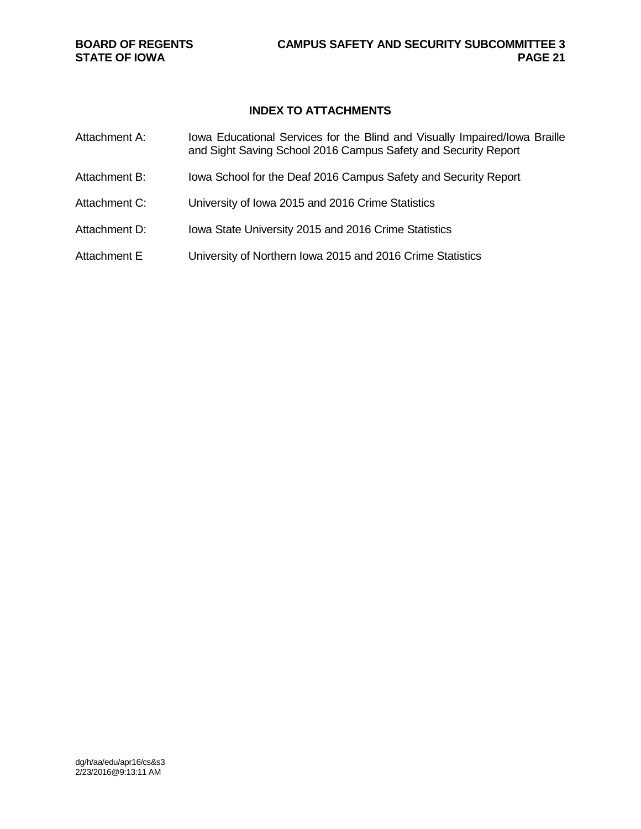### **INDEX TO ATTACHMENTS**

| Attachment A: | Iowa Educational Services for the Blind and Visually Impaired/Iowa Braille<br>and Sight Saving School 2016 Campus Safety and Security Report |
|---------------|----------------------------------------------------------------------------------------------------------------------------------------------|
| Attachment B: | Iowa School for the Deaf 2016 Campus Safety and Security Report                                                                              |
| Attachment C: | University of Iowa 2015 and 2016 Crime Statistics                                                                                            |
| Attachment D: | Iowa State University 2015 and 2016 Crime Statistics                                                                                         |
| Attachment E  | University of Northern Iowa 2015 and 2016 Crime Statistics                                                                                   |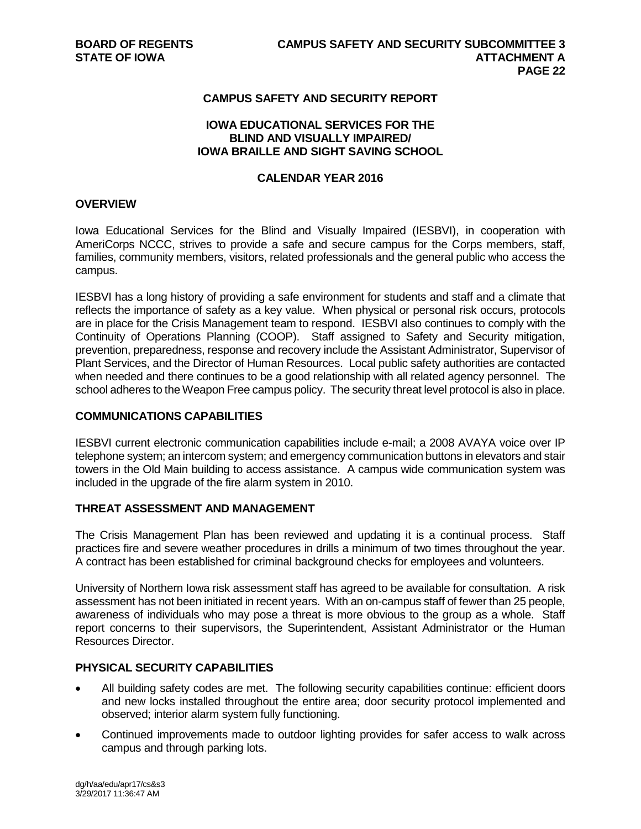#### **CAMPUS SAFETY AND SECURITY REPORT**

#### **IOWA EDUCATIONAL SERVICES FOR THE BLIND AND VISUALLY IMPAIRED/ IOWA BRAILLE AND SIGHT SAVING SCHOOL**

#### **CALENDAR YEAR 2016**

#### **OVERVIEW**

Iowa Educational Services for the Blind and Visually Impaired (IESBVI), in cooperation with AmeriCorps NCCC, strives to provide a safe and secure campus for the Corps members, staff, families, community members, visitors, related professionals and the general public who access the campus.

IESBVI has a long history of providing a safe environment for students and staff and a climate that reflects the importance of safety as a key value. When physical or personal risk occurs, protocols are in place for the Crisis Management team to respond. IESBVI also continues to comply with the Continuity of Operations Planning (COOP). Staff assigned to Safety and Security mitigation, prevention, preparedness, response and recovery include the Assistant Administrator, Supervisor of Plant Services, and the Director of Human Resources. Local public safety authorities are contacted when needed and there continues to be a good relationship with all related agency personnel. The school adheres to the Weapon Free campus policy. The security threat level protocol is also in place.

#### **COMMUNICATIONS CAPABILITIES**

IESBVI current electronic communication capabilities include e-mail; a 2008 AVAYA voice over IP telephone system; an intercom system; and emergency communication buttons in elevators and stair towers in the Old Main building to access assistance. A campus wide communication system was included in the upgrade of the fire alarm system in 2010.

#### **THREAT ASSESSMENT AND MANAGEMENT**

The Crisis Management Plan has been reviewed and updating it is a continual process. Staff practices fire and severe weather procedures in drills a minimum of two times throughout the year. A contract has been established for criminal background checks for employees and volunteers.

University of Northern Iowa risk assessment staff has agreed to be available for consultation. A risk assessment has not been initiated in recent years. With an on-campus staff of fewer than 25 people, awareness of individuals who may pose a threat is more obvious to the group as a whole. Staff report concerns to their supervisors, the Superintendent, Assistant Administrator or the Human Resources Director.

#### **PHYSICAL SECURITY CAPABILITIES**

- All building safety codes are met. The following security capabilities continue: efficient doors and new locks installed throughout the entire area; door security protocol implemented and observed; interior alarm system fully functioning.
- Continued improvements made to outdoor lighting provides for safer access to walk across campus and through parking lots.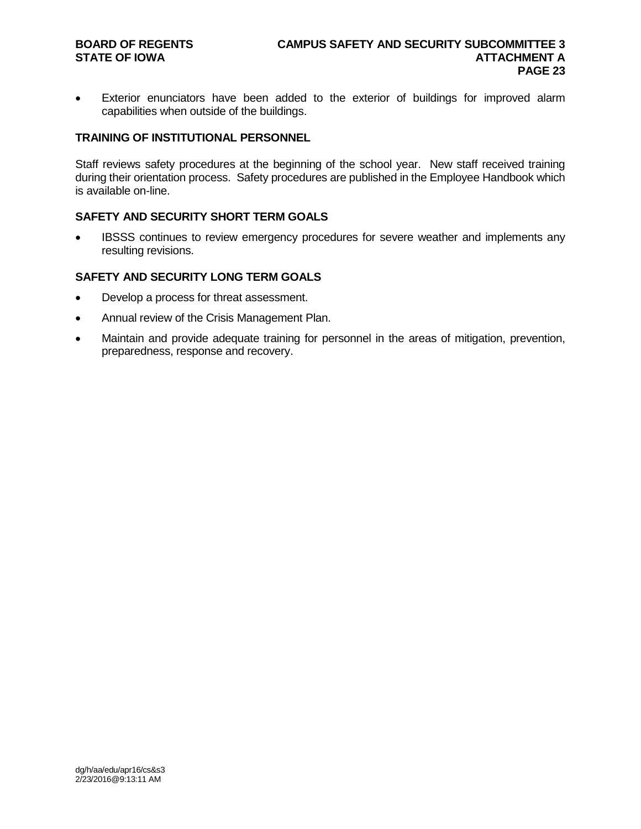• Exterior enunciators have been added to the exterior of buildings for improved alarm capabilities when outside of the buildings.

#### **TRAINING OF INSTITUTIONAL PERSONNEL**

Staff reviews safety procedures at the beginning of the school year. New staff received training during their orientation process. Safety procedures are published in the Employee Handbook which is available on-line.

#### **SAFETY AND SECURITY SHORT TERM GOALS**

IBSSS continues to review emergency procedures for severe weather and implements any resulting revisions.

#### **SAFETY AND SECURITY LONG TERM GOALS**

- Develop a process for threat assessment.
- Annual review of the Crisis Management Plan.
- Maintain and provide adequate training for personnel in the areas of mitigation, prevention, preparedness, response and recovery.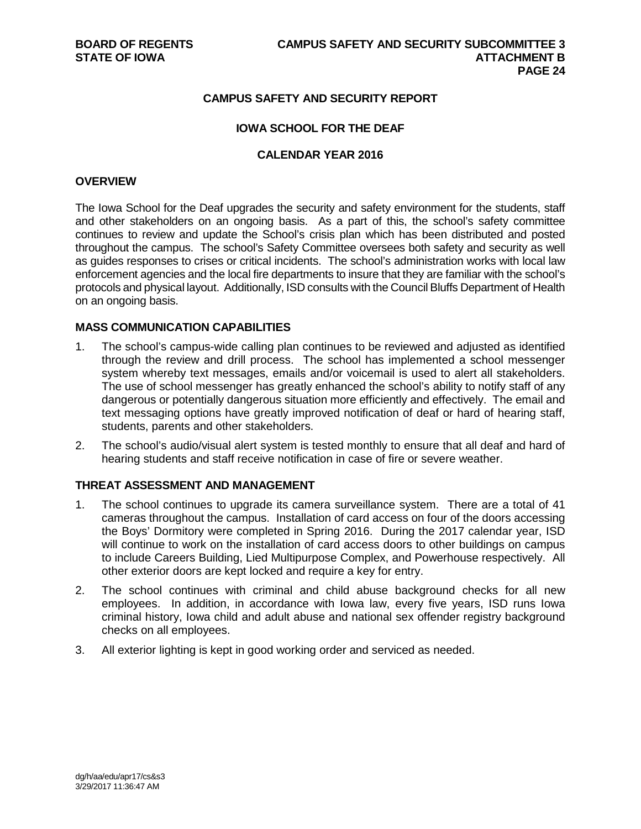#### **CAMPUS SAFETY AND SECURITY REPORT**

#### **IOWA SCHOOL FOR THE DEAF**

#### **CALENDAR YEAR 2016**

#### **OVERVIEW**

The Iowa School for the Deaf upgrades the security and safety environment for the students, staff and other stakeholders on an ongoing basis. As a part of this, the school's safety committee continues to review and update the School's crisis plan which has been distributed and posted throughout the campus. The school's Safety Committee oversees both safety and security as well as guides responses to crises or critical incidents. The school's administration works with local law enforcement agencies and the local fire departments to insure that they are familiar with the school's protocols and physical layout. Additionally, ISD consults with the Council Bluffs Department of Health on an ongoing basis.

#### **MASS COMMUNICATION CAPABILITIES**

- 1. The school's campus-wide calling plan continues to be reviewed and adjusted as identified through the review and drill process. The school has implemented a school messenger system whereby text messages, emails and/or voicemail is used to alert all stakeholders. The use of school messenger has greatly enhanced the school's ability to notify staff of any dangerous or potentially dangerous situation more efficiently and effectively. The email and text messaging options have greatly improved notification of deaf or hard of hearing staff, students, parents and other stakeholders.
- 2. The school's audio/visual alert system is tested monthly to ensure that all deaf and hard of hearing students and staff receive notification in case of fire or severe weather.

#### **THREAT ASSESSMENT AND MANAGEMENT**

- 1. The school continues to upgrade its camera surveillance system. There are a total of 41 cameras throughout the campus. Installation of card access on four of the doors accessing the Boys' Dormitory were completed in Spring 2016. During the 2017 calendar year, ISD will continue to work on the installation of card access doors to other buildings on campus to include Careers Building, Lied Multipurpose Complex, and Powerhouse respectively. All other exterior doors are kept locked and require a key for entry.
- 2. The school continues with criminal and child abuse background checks for all new employees. In addition, in accordance with Iowa law, every five years, ISD runs Iowa criminal history, Iowa child and adult abuse and national sex offender registry background checks on all employees.
- 3. All exterior lighting is kept in good working order and serviced as needed.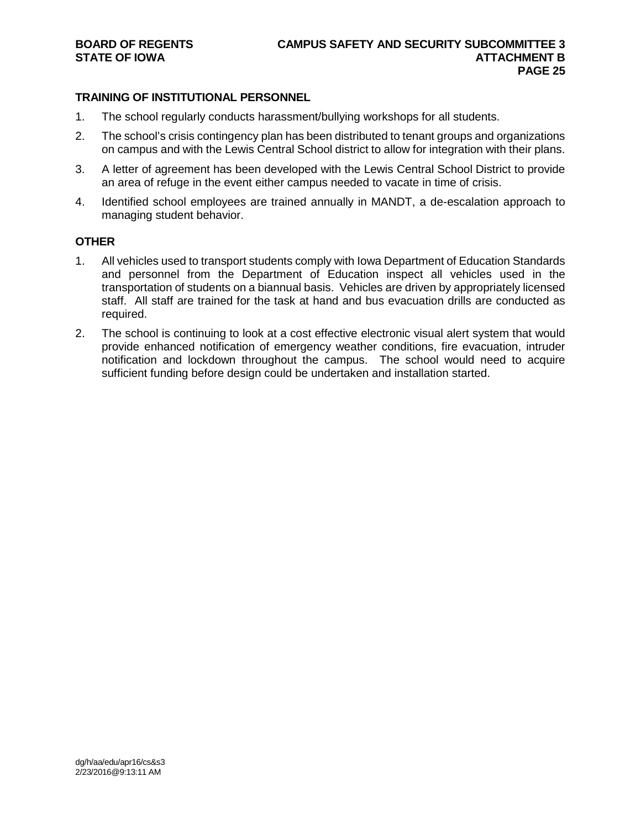#### **TRAINING OF INSTITUTIONAL PERSONNEL**

- 1. The school regularly conducts harassment/bullying workshops for all students.
- 2. The school's crisis contingency plan has been distributed to tenant groups and organizations on campus and with the Lewis Central School district to allow for integration with their plans.
- 3. A letter of agreement has been developed with the Lewis Central School District to provide an area of refuge in the event either campus needed to vacate in time of crisis.
- 4. Identified school employees are trained annually in MANDT, a de-escalation approach to managing student behavior.

#### **OTHER**

- 1. All vehicles used to transport students comply with Iowa Department of Education Standards and personnel from the Department of Education inspect all vehicles used in the transportation of students on a biannual basis. Vehicles are driven by appropriately licensed staff. All staff are trained for the task at hand and bus evacuation drills are conducted as required.
- 2. The school is continuing to look at a cost effective electronic visual alert system that would provide enhanced notification of emergency weather conditions, fire evacuation, intruder notification and lockdown throughout the campus. The school would need to acquire sufficient funding before design could be undertaken and installation started.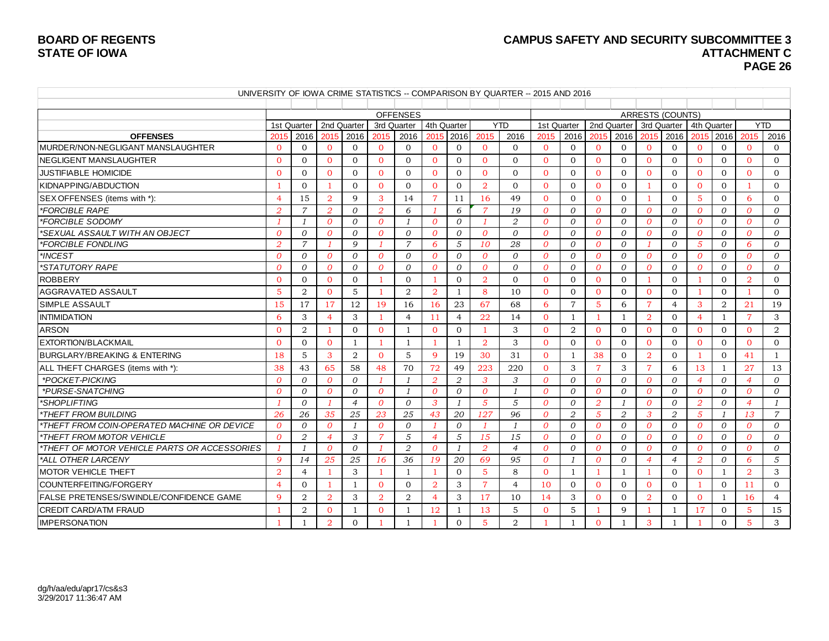### **BOARD OF REGENTS CAMPUS SAFETY AND SECURITY SUBCOMMITTEE 3 PAGE 26**

|                                                |                |                |                |                |                |                 |                          |                |                | UNIVERSITY OF IOWA CRIME STATISTICS -- COMPARISON BY QUARTER -- 2015 AND 2016 |                |                |                |                |                |                         |                |                |                |                |
|------------------------------------------------|----------------|----------------|----------------|----------------|----------------|-----------------|--------------------------|----------------|----------------|-------------------------------------------------------------------------------|----------------|----------------|----------------|----------------|----------------|-------------------------|----------------|----------------|----------------|----------------|
|                                                |                |                |                |                |                |                 |                          |                |                |                                                                               |                |                |                |                |                |                         |                |                |                |                |
|                                                |                |                |                |                |                | <b>OFFENSES</b> |                          |                |                |                                                                               |                |                |                |                |                | <b>ARRESTS (COUNTS)</b> |                |                |                |                |
|                                                |                | 1st Quarter    |                | 2nd Quarter    |                | 3rd Quarter     | 4th Quarter              |                |                | <b>YTD</b>                                                                    | 1st Quarter    |                |                | 2nd Quarter    |                | 3rd Quarter             | 4th Quarter    |                |                | <b>YTD</b>     |
| <b>OFFENSES</b>                                | 2015           | 2016           | 2015           | 2016           | 2015           | 2016            | 2015                     | 2016           | 2015           | 2016                                                                          | 2015           | 2016           | 2015           | 2016           | 2015           | 2016                    | 2015           | 2016           | 2015           | 2016           |
| MURDER/NON-NEGLIGANT MANSLAUGHTER              | $\Omega$       | $\Omega$       | $\Omega$       | $\Omega$       | $\mathbf{0}$   | $\Omega$        | $\Omega$                 | $\Omega$       | $\Omega$       | $\Omega$                                                                      | $\Omega$       | $\Omega$       | $\Omega$       | $\Omega$       | $\Omega$       | $\Omega$                | $\Omega$       | $\Omega$       | $\Omega$       | $\Omega$       |
| <b>INEGLIGENT MANSLAUGHTER</b>                 | $\Omega$       | $\Omega$       | $\Omega$       | $\Omega$       | $\Omega$       | $\mathbf{0}$    | $\Omega$                 | $\Omega$       | $\Omega$       | $\Omega$                                                                      | $\Omega$       | $\Omega$       | $\Omega$       | $\Omega$       | $\Omega$       | $\Omega$                | $\Omega$       | $\overline{0}$ | $\Omega$       | $\Omega$       |
| <b>JUSTIFIABLE HOMICIDE</b>                    | $\mathbf{0}$   | $\Omega$       | $\mathbf{0}$   | $\mathbf{0}$   | $\Omega$       | $\overline{0}$  | $\Omega$                 | $\mathbf{0}$   | $\Omega$       | $\overline{0}$                                                                | $\Omega$       | $\Omega$       | $\mathbf{0}$   | $\Omega$       | $\overline{0}$ | $\Omega$                | $\Omega$       | $\Omega$       | $\mathbf{0}$   | $\overline{0}$ |
| KIDNAPPING/ABDUCTION                           | -1             | $\overline{0}$ | -1             | $\Omega$       | $\Omega$       | $\overline{0}$  | $\Omega$                 | $\overline{0}$ | $\overline{2}$ | $\Omega$                                                                      | $\Omega$       | $\Omega$       | $\mathbf{0}$   | $\overline{0}$ | -1             | $\mathbf{0}$            | $\Omega$       | $\overline{0}$ | -1             | $\overline{0}$ |
| SEX OFFENSES (items with *):                   | $\overline{4}$ | 15             | $\overline{2}$ | 9              | 3              | 14              | $\overline{7}$           | 11             | 16             | 49                                                                            | $\Omega$       | $\Omega$       | $\Omega$       | $\Omega$       | 1              | $\Omega$                | 5              | $\overline{0}$ | 6              | $\mathbf{0}$   |
| *FORCIBLE RAPE                                 | $\overline{2}$ | 7              | $\overline{2}$ | $\overline{O}$ | $\overline{2}$ | 6               | $\overline{\phantom{a}}$ | 6              | 7              | 19                                                                            | $\Omega$       | $\Omega$       | $\overline{0}$ | $\Omega$       | $\overline{0}$ | $\mathcal{O}$           | $\overline{0}$ | $\overline{0}$ | $\overline{0}$ | $\overline{O}$ |
| *FORCIBLE SODOMY                               |                | - 1            | $\overline{0}$ | 0              | $\overline{0}$ | $\mathbf{1}$    | $\Omega$                 | 0              | $\mathbf{1}$   | 2                                                                             | $\theta$       | $\overline{O}$ | $\Omega$       | $\Omega$       | $\overline{0}$ | 0                       | $\overline{0}$ | 0              | $\theta$       | 0              |
| *SEXUAL ASSAULT WITH AN OBJECT                 | $\Omega$       | $\theta$       | $\overline{0}$ | $\Omega$       | $\Omega$       | $\Omega$        | $\theta$                 | $\Omega$       | $\theta$       | $\Omega$                                                                      | $\theta$       | $\Omega$       | $\Omega$       | $\Omega$       | $\overline{0}$ | $\Omega$                | $\overline{0}$ | $\Omega$       | $\theta$       | $\Omega$       |
| *FORCIBLE FONDLING                             | 2              | $\overline{7}$ | $\mathcal{I}$  | 9              | $\mathbf{1}$   | $\overline{7}$  | 6                        | 5              | 10             | 28                                                                            | $\theta$       | $\Omega$       | $\theta$       | $\Omega$       | - 1            | $\Omega$                | 5              | $\Omega$       | 6              | $\Omega$       |
| *INCEST                                        | $\Omega$       | $\Omega$       | $\overline{O}$ | $\Omega$       | $\Omega$       | 0               | $\theta$                 | $\overline{0}$ | $\theta$       | $\Omega$                                                                      | $\theta$       | $\Omega$       | $\theta$       | $\Omega$       | $\theta$       | $\Omega$                | $\overline{0}$ | $\Omega$       | $\overline{0}$ | 0              |
| *STATUTORY RAPE                                | $\Omega$       | $\Omega$       | $\overline{O}$ | $\Omega$       | $\overline{0}$ | 0               | $\theta$                 | $\overline{0}$ | $\overline{0}$ | $\overline{O}$                                                                | $\overline{0}$ | $\Omega$       | $\theta$       | $\Omega$       | $\theta$       | $\mathcal{O}$           | $\overline{0}$ | 0              | $\overline{0}$ | 0              |
| <b>ROBBERY</b>                                 | $\Omega$       | $\Omega$       | $\Omega$       | $\Omega$       | $\mathbf{1}$   | $\Omega$        | $\overline{1}$           | $\Omega$       | $\overline{2}$ | $\Omega$                                                                      | $\Omega$       | $\Omega$       | $\Omega$       | $\Omega$       | -1             | $\Omega$                | 1              | $\Omega$       | $\overline{2}$ | $\Omega$       |
| <b>AGGRAVATED ASSAULT</b>                      | $\overline{5}$ | 2              | $\Omega$       | 5              | $\mathbf{1}$   | $\overline{2}$  | $\overline{2}$           | 1              | 8              | 10                                                                            | $\Omega$       | $\Omega$       | $\Omega$       | $\Omega$       | $\Omega$       | $\Omega$                | 1              | $\Omega$       | $\overline{1}$ | $\Omega$       |
| ISIMPLE ASSAULT                                | 15             | 17             | 17             | 12             | 19             | 16              | 16                       | 23             | 67             | 68                                                                            | 6              | $\overline{7}$ | 5              | 6              | $\overline{7}$ | $\overline{4}$          | 3              | 2              | 21             | 19             |
| <b>INTIMIDATION</b>                            | 6              | 3              | $\overline{4}$ | 3              | -1             | $\overline{4}$  | 11                       | $\overline{4}$ | 22             | 14                                                                            | $\Omega$       | $\mathbf{1}$   |                | $\mathbf{1}$   | $\overline{2}$ | $\Omega$                | $\overline{4}$ | $\mathbf{1}$   | $\overline{7}$ | 3              |
| <b>ARSON</b>                                   | $\Omega$       | $\overline{2}$ | $\overline{1}$ | $\Omega$       | $\overline{0}$ |                 | $\Omega$                 | $\overline{0}$ |                | 3                                                                             | $\Omega$       | 2              | $\Omega$       | $\Omega$       | $\Omega$       | $\Omega$                | $\Omega$       | $\overline{0}$ | $\Omega$       | 2              |
| <b>EXTORTION/BLACKMAIL</b>                     | $\Omega$       | $\Omega$       | $\Omega$       | $\overline{1}$ | $\mathbf{1}$   |                 | -1                       | $\mathbf{1}$   | $\overline{2}$ | 3                                                                             | $\Omega$       | $\Omega$       | $\Omega$       | $\Omega$       | $\Omega$       | $\Omega$                | $\Omega$       | $\mathbf{0}$   | $\Omega$       | $\mathbf{0}$   |
| <b>BURGLARY/BREAKING &amp; ENTERING</b>        | 18             | 5              | 3              | 2              | $\Omega$       | 5               | $\mathbf{Q}$             | 19             | 30             | 31                                                                            | $\Omega$       | $\mathbf{1}$   | 38             | $\Omega$       | $\overline{2}$ | $\Omega$                |                | $\Omega$       | 41             | $\mathbf{1}$   |
| ALL THEFT CHARGES (items with *):              | 38             | 43             | 65             | 58             | 48             | 70              | 72                       | 49             | 223            | 220                                                                           | $\mathbf{0}$   | 3              | $\overline{7}$ | 3              | $\overline{7}$ | 6                       | 13             | 1              | 27             | 13             |
| *POCKET-PICKING                                | $\overline{0}$ | $\mathcal{O}$  | $\overline{0}$ | $\overline{O}$ | $\mathcal{I}$  | 1               | $\overline{2}$           | 2              | 3              | 3                                                                             | $\overline{0}$ | $\Omega$       | $\overline{0}$ | $\Omega$       | $\theta$       | $\mathcal{O}$           | $\overline{4}$ | 0              | $\overline{4}$ | 0              |
| *PURSE-SNATCHING                               | $\overline{0}$ | $\mathcal O$   | $\overline{0}$ | 0              | $\overline{0}$ | 1               | $\overline{0}$           | 0              | $\overline{0}$ | $\overline{1}$                                                                | $\overline{0}$ | 0              | $\overline{0}$ | 0              | $\overline{0}$ | 0                       | $\overline{0}$ | 0              | $\theta$       | 0              |
| *SHOPLIFTING                                   |                | $\theta$       |                | $\overline{4}$ | $\overline{0}$ | $\Omega$        | 3                        | $\mathbf{1}$   | $\overline{5}$ | 5                                                                             | $\overline{O}$ | $\Omega$       | $\overline{2}$ | $\mathcal{I}$  | $\overline{0}$ | $\mathcal{O}$           | $\overline{2}$ | $\Omega$       | $\overline{4}$ | - 1            |
| *THEFT FROM BUILDING                           | 26             | 26             | 35             | 25             | 23             | 25              | 43                       | 20             | 127            | 96                                                                            | $\Omega$       | 2              | $\overline{5}$ | 2              | 3              | $\overline{2}$          | 5              | $\mathcal{I}$  | 13             | $\overline{7}$ |
| *THEFT FROM COIN-OPERATED MACHINE OR DEVICE    | $\Omega$       | $\Omega$       | $\overline{0}$ | $\overline{1}$ | $\overline{0}$ | 0               | $\overline{1}$           | $\Omega$       | $\mathbf{1}$   | $\overline{1}$                                                                | $\Omega$       | $\Omega$       | $\Omega$       | $\Omega$       | $\overline{O}$ | $\Omega$                | $\overline{O}$ | $\Omega$       | $\overline{0}$ | $\Omega$       |
| THEFT FROM MOTOR VEHICLE                       | $\Omega$       | 2              | $\overline{4}$ | 3              | $\overline{7}$ | 5               | $\overline{4}$           | 5              | 15             | 15                                                                            | $\Omega$       | $\Omega$       | $\Omega$       | $\Omega$       | $\theta$       | $\Omega$                | $\Omega$       | $\Omega$       | $\theta$       | $\Omega$       |
| *THEFT OF MOTOR VEHICLE PARTS OR ACCESSORIES   | $\mathcal{I}$  | $\overline{1}$ | $\Omega$       | $\Omega$       | $\mathcal{I}$  | 2               | $\Omega$                 | $\mathcal{I}$  | 2              | $\overline{4}$                                                                | $\Omega$       | $\Omega$       | $\Omega$       | $\Omega$       | $\Omega$       | $\Omega$                | $\theta$       | $\Omega$       | $\theta$       | $\Omega$       |
| *ALL OTHER LARCENY                             | $\mathbf{Q}$   | 14             | 25             | 25             | 16             | 36              | 19                       | 20             | 69             | 95                                                                            | $\Omega$       | $\mathcal{I}$  | $\Omega$       | $\Omega$       | $\overline{4}$ | $\overline{4}$          | $\overline{2}$ | $\Omega$       | 6              | 5              |
| <b>IMOTOR VEHICLE THEFT</b>                    | $\overline{2}$ | $\overline{4}$ | $\mathbf{1}$   | 3              | $\mathbf{1}$   | 1               | $\overline{1}$           | $\Omega$       | 5              | 8                                                                             | $\Omega$       | $\mathbf{1}$   |                | 1              |                | $\Omega$                | $\Omega$       | $\mathbf{1}$   | 2              | 3              |
| COUNTERFEITING/FORGERY                         | $\overline{4}$ | $\Omega$       | -1             | $\overline{1}$ | $\Omega$       | $\Omega$        | $\overline{2}$           | 3              | $\overline{7}$ | $\overline{4}$                                                                | 10             | $\Omega$       | $\Omega$       | $\Omega$       | $\Omega$       | $\Omega$                |                | $\Omega$       | 11             | $\Omega$       |
| <b>FALSE PRETENSES/SWINDLE/CONFIDENCE GAME</b> | $\mathbf{Q}$   | 2              | $\overline{2}$ | 3              | $\overline{2}$ | $\overline{2}$  | $\overline{4}$           | 3              | 17             | 10                                                                            | 14             | 3              | $\Omega$       | $\Omega$       | $\overline{2}$ | $\Omega$                | $\Omega$       | $\mathbf{1}$   | 16             | $\overline{4}$ |
| <b>CREDIT CARD/ATM FRAUD</b>                   | -1             | 2              | $\Omega$       | 1              | $\Omega$       | -1              | 12                       | 1              | 13             | 5                                                                             | $\Omega$       | 5              |                | 9              | -1             | 1                       | 17             | $\overline{0}$ | 5              | 15             |
| <b>IMPERSONATION</b>                           |                | $\overline{1}$ | $\overline{2}$ | $\Omega$       | $\mathbf{1}$   |                 | -1                       | $\Omega$       | $\overline{5}$ | $\overline{2}$                                                                | $\mathbf{1}$   | $\mathbf{1}$   | $\Omega$       | $\mathbf{1}$   | 3              | $\mathbf{1}$            | -1             | $\Omega$       | $\overline{5}$ | 3              |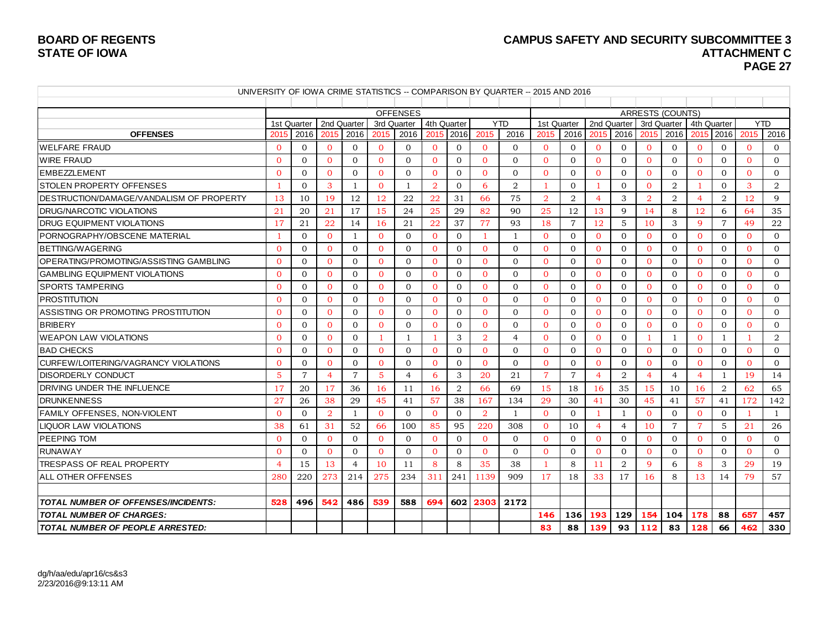### BOARD OF REGENTS **BOARD OF REGENTS**<br>STATE OF IOWA **ATTACHMENT C PAGE 27**

|                                                  |                |                |                |                |                |                                |                |                |                | UNIVERSITY OF IOWA CRIME STATISTICS -- COMPARISON BY QUARTER -- 2015 AND 2016 |                |                |                |                |                |                                        |                |                |              |                |
|--------------------------------------------------|----------------|----------------|----------------|----------------|----------------|--------------------------------|----------------|----------------|----------------|-------------------------------------------------------------------------------|----------------|----------------|----------------|----------------|----------------|----------------------------------------|----------------|----------------|--------------|----------------|
|                                                  |                |                |                |                |                |                                |                |                |                |                                                                               |                |                |                |                |                |                                        |                |                |              |                |
|                                                  |                | 1st Quarter    | 2nd Quarter    |                |                | <b>OFFENSES</b><br>3rd Quarter |                | 4th Quarter    |                | <b>YTD</b>                                                                    | 1st Quarter    |                |                | 2nd Quarter    |                | <b>ARRESTS (COUNTS)</b><br>3rd Quarter | 4th Quarter    |                | <b>YTD</b>   |                |
| <b>OFFENSES</b>                                  | 2015           | 2016           | 2015           | 2016           | 2015           | 2016                           |                | 2015 2016      | 2015           | 2016                                                                          | 2015           | 2016           | 2015           | 2016           | 2015           | 2016                                   | 2015 2016      |                | 2015         | 2016           |
| <b>WELFARE FRAUD</b>                             | $\mathbf{0}$   | $\mathbf{0}$   | $\mathbf{0}$   | $\mathbf{0}$   | $\overline{0}$ | $\mathbf{0}$                   | $\mathbf{0}$   | $\overline{0}$ | $\mathbf{0}$   | $\mathbf{0}$                                                                  | $\mathbf{0}$   | $\overline{0}$ | $\mathbf{0}$   | $\mathbf{0}$   | $\mathbf{0}$   | $\mathbf{0}$                           | $\mathbf{0}$   | $\overline{0}$ | $\mathbf{0}$ | $\overline{0}$ |
| <b>WIRE FRAUD</b>                                | $\Omega$       | $\Omega$       | $\Omega$       | $\Omega$       | $\Omega$       | $\Omega$                       | $\Omega$       | $\mathbf{0}$   | $\Omega$       | $\Omega$                                                                      | $\Omega$       | $\Omega$       | $\Omega$       | $\Omega$       | $\Omega$       | $\Omega$                               | $\Omega$       | $\Omega$       | $\Omega$     | $\Omega$       |
| <b>IEMBEZZLEMENT</b>                             | $\Omega$       | $\Omega$       | $\Omega$       | $\Omega$       | $\Omega$       | $\mathbf{0}$                   | $\Omega$       | $\mathbf{0}$   | $\Omega$       | $\Omega$                                                                      | $\Omega$       | $\Omega$       | $\Omega$       | $\Omega$       | $\Omega$       | $\Omega$                               | $\Omega$       | $\Omega$       | $\Omega$     | $\Omega$       |
| <b>STOLEN PROPERTY OFFENSES</b>                  | $\overline{1}$ | $\mathbf{0}$   | 3              | $\mathbf{1}$   | $\overline{0}$ | 1                              | $\overline{2}$ | $\mathbf{0}$   | 6              | $\overline{2}$                                                                | $\mathbf{1}$   | $\overline{0}$ |                | $\mathbf{0}$   | $\mathbf{0}$   | 2                                      |                | $\overline{0}$ | 3            | 2              |
| <b>IDESTRUCTION/DAMAGE/VANDALISM OF PROPERTY</b> | 13             | 10             | 19             | 12             | 12             | 22                             | 22             | 31             | 66             | 75                                                                            | $\overline{2}$ | 2              | $\overline{4}$ | 3              | $\overline{a}$ | $\overline{2}$                         | 4              | $\overline{2}$ | 12           | 9              |
| <b>IDRUG/NARCOTIC VIOLATIONS</b>                 | 21             | 20             | 21             | 17             | 15             | 24                             | 25             | 29             | 82             | 90                                                                            | 25             | 12             | 13             | 9              | 14             | 8                                      | 12             | 6              | 64           | 35             |
| <b>IDRUG EQUIPMENT VIOLATIONS</b>                | 17             | 21             | 22             | 14             | 16             | 21                             | 22             | 37             | 77             | 93                                                                            | 18             | $\overline{7}$ | 12             | 5              | 10             | 3                                      | 9              | $\overline{7}$ | 49           | 22             |
| IPORNOGRAPHY/OBSCENE MATERIAL                    | -1             | $\Omega$       | $\Omega$       | -1             | $\Omega$       | $\Omega$                       | $\Omega$       | $\overline{0}$ | -1             | $\mathbf{1}$                                                                  | $\Omega$       | $\Omega$       | $\Omega$       | $\Omega$       | $\Omega$       | $\Omega$                               | $\Omega$       | $\Omega$       | $\Omega$     | $\Omega$       |
| <b>BETTING/WAGERING</b>                          | $\Omega$       | $\Omega$       | $\Omega$       | $\mathbf{0}$   | $\Omega$       | $\mathbf{0}$                   | $\overline{0}$ | $\mathbf{0}$   | $\Omega$       | $\Omega$                                                                      | $\Omega$       | $\Omega$       | $\Omega$       | $\Omega$       | $\Omega$       | $\Omega$                               | $\Omega$       | $\overline{0}$ | $\Omega$     | $\overline{0}$ |
| OPERATING/PROMOTING/ASSISTING GAMBLING           | $\overline{0}$ | $\mathbf{0}$   | $\mathbf{0}$   | $\overline{0}$ | $\overline{0}$ | $\mathbf{0}$                   | $\overline{0}$ | $\mathbf{0}$   | $\Omega$       | $\mathbf{0}$                                                                  | $\mathbf{0}$   | $\Omega$       | $\mathbf{0}$   | $\mathbf{0}$   | $\mathbf{0}$   | $\mathbf{0}$                           | $\mathbf{0}$   | $\overline{0}$ | $\mathbf{0}$ | $\overline{0}$ |
| <b>GAMBLING EQUIPMENT VIOLATIONS</b>             | $\overline{0}$ | $\Omega$       | $\mathbf{0}$   | $\mathbf{0}$   | $\Omega$       | $\mathbf{0}$                   | $\Omega$       | $\mathbf{0}$   | $\Omega$       | $\Omega$                                                                      | $\Omega$       | $\Omega$       | $\Omega$       | $\Omega$       | $\overline{0}$ | $\mathbf{0}$                           | $\Omega$       | $\mathbf{0}$   | $\Omega$     | $\overline{0}$ |
| <b>SPORTS TAMPERING</b>                          | $\mathbf{0}$   | $\Omega$       | $\mathbf{0}$   | $\mathbf{0}$   | $\Omega$       | $\Omega$                       | $\mathbf{0}$   | $\overline{0}$ | $\Omega$       | $\Omega$                                                                      | $\mathbf{0}$   | $\Omega$       | $\Omega$       | $\Omega$       | $\Omega$       | $\Omega$                               | $\Omega$       | $\mathbf{0}$   | $\mathbf{0}$ | $\overline{0}$ |
| <b>IPROSTITUTION</b>                             | $\Omega$       | $\Omega$       | $\Omega$       | $\Omega$       | $\Omega$       | $\Omega$                       | $\Omega$       | $\Omega$       | $\Omega$       | $\Omega$                                                                      | $\Omega$       | $\Omega$       | $\Omega$       | $\Omega$       | $\Omega$       | $\Omega$                               | $\Omega$       | $\Omega$       | $\Omega$     | $\Omega$       |
| ASSISTING OR PROMOTING PROSTITUTION              | $\Omega$       | $\Omega$       | $\Omega$       | $\Omega$       | $\Omega$       | $\Omega$                       | $\Omega$       | $\overline{0}$ | $\Omega$       | $\Omega$                                                                      | $\Omega$       | $\Omega$       | $\Omega$       | $\Omega$       | $\Omega$       | $\Omega$                               | $\Omega$       | $\Omega$       | $\Omega$     | $\Omega$       |
| <b>BRIBERY</b>                                   | $\mathbf{0}$   | $\Omega$       | $\mathbf{0}$   | $\mathbf{0}$   | $\Omega$       | $\overline{0}$                 | $\mathbf{0}$   | $\overline{0}$ | $\Omega$       | $\Omega$                                                                      | $\mathbf{0}$   | $\Omega$       | $\Omega$       | $\Omega$       | $\Omega$       | $\Omega$                               | $\Omega$       | $\mathbf{0}$   | $\mathbf{0}$ | $\overline{0}$ |
| <b>IWEAPON LAW VIOLATIONS</b>                    | $\Omega$       | $\Omega$       | $\Omega$       | $\Omega$       | $\mathbf{1}$   | $\mathbf{1}$                   | -1             | 3              | $\overline{2}$ | $\overline{4}$                                                                | $\Omega$       | $\Omega$       | $\Omega$       | $\Omega$       | -1             | $\overline{1}$                         | $\Omega$       | $\mathbf{1}$   | -1           | 2              |
| <b>IBAD CHECKS</b>                               | $\Omega$       | $\Omega$       | $\Omega$       | $\Omega$       | $\Omega$       | $\Omega$                       | $\overline{0}$ | $\mathbf{0}$   | $\Omega$       | $\Omega$                                                                      | $\Omega$       | $\Omega$       | $\Omega$       | $\Omega$       | $\Omega$       | $\Omega$                               | $\Omega$       | $\Omega$       | $\mathbf{0}$ | $\overline{0}$ |
| ICURFEW/LOITERING/VAGRANCY VIOLATIONS            | $\mathbf{0}$   | $\Omega$       | $\mathbf{0}$   | $\mathbf{0}$   | $\mathbf{0}$   | $\Omega$                       | $\overline{0}$ | $\overline{0}$ | $\mathbf{0}$   | $\Omega$                                                                      | $\overline{0}$ | $\Omega$       | $\mathbf{0}$   | $\mathbf{0}$   | $\Omega$       | $\Omega$                               | $\Omega$       | $\mathbf{0}$   | $\mathbf{0}$ | $\overline{0}$ |
| IDISORDERLY CONDUCT                              | $\overline{5}$ | $\overline{7}$ | $\overline{4}$ | $\overline{7}$ | $\overline{5}$ | $\overline{4}$                 | 6              | 3              | 20             | 21                                                                            | $\overline{7}$ | $\overline{7}$ | $\overline{4}$ | 2              | $\overline{4}$ | $\overline{4}$                         | $\overline{4}$ | $\mathbf{1}$   | 19           | 14             |
| DRIVING UNDER THE INFLUENCE                      | 17             | 20             | <sup>17</sup>  | 36             | 16             | 11                             | 16             | $\overline{2}$ | 66             | 69                                                                            | 15             | 18             | 16             | 35             | 15             | 10                                     | 16             | 2              | 62           | 65             |
| IDRUNKENNESS                                     | 27             | 26             | 38             | 29             | 45             | 41                             | 57             | 38             | 167            | 134                                                                           | 29             | 30             | 41             | 30             | 45             | 41                                     | 57             | 41             | 172          | 142            |
| <b>FAMILY OFFENSES, NON-VIOLENT</b>              | $\Omega$       | $\Omega$       | $\overline{2}$ | $\overline{1}$ | $\Omega$       | $\Omega$                       | $\Omega$       | $\Omega$       | $\overline{2}$ | $\mathbf{1}$                                                                  | $\Omega$       | $\Omega$       | -1             | $\overline{1}$ | $\Omega$       | $\Omega$                               | $\Omega$       | $\Omega$       | -1           | 1              |
| LIQUOR LAW VIOLATIONS                            | 38             | 61             | 31             | 52             | 66             | 100                            | 85             | 95             | 220            | 308                                                                           | $\Omega$       | 10             | 4              | $\overline{4}$ | 10             | $\overline{7}$                         | 7              | 5              | 21           | 26             |
| <b>PEEPING TOM</b>                               | $\overline{0}$ | $\mathbf{0}$   | $\mathbf{0}$   | $\mathbf{0}$   | $\Omega$       | $\overline{0}$                 | $\overline{0}$ | $\mathbf{0}$   | $\Omega$       | $\Omega$                                                                      | $\mathbf{0}$   | $\Omega$       | $\mathbf{0}$   | $\Omega$       | $\mathbf{0}$   | $\Omega$                               | $\Omega$       | $\overline{0}$ | $\mathbf{0}$ | $\overline{0}$ |
| RUNAWAY                                          | $\Omega$       | $\Omega$       | $\Omega$       | $\Omega$       | $\Omega$       | $\mathbf{0}$                   | $\Omega$       | $\overline{0}$ | $\Omega$       | $\Omega$                                                                      | $\Omega$       | $\Omega$       | $\Omega$       | $\Omega$       | $\Omega$       | $\Omega$                               | $\Omega$       | $\Omega$       | $\Omega$     | $\Omega$       |
| <b>TRESPASS OF REAL PROPERTY</b>                 | $\overline{4}$ | 15             | 13             | $\overline{4}$ | 10             | 11                             | 8              | 8              | 35             | 38                                                                            | -1             | 8              | -11            | 2              | 9              | 6                                      | 8              | 3              | 29           | 19             |
| <b>ALL OTHER OFFENSES</b>                        | 280            | 220            | 273            | 214            | 275            | 234                            | 311            | 241            | 1139           | 909                                                                           | 17             | 18             | 33             | 17             | 16             | 8                                      | 13             | 14             | 79           | 57             |
|                                                  |                |                |                |                |                |                                |                |                |                |                                                                               |                |                |                |                |                |                                        |                |                |              |                |
| TOTAL NUMBER OF OFFENSES/INCIDENTS:              | 528            | 496            | 542            | 486            | 539            | 588                            | 694            | 602            | 2303           | 2172                                                                          |                |                |                |                |                |                                        |                |                |              |                |
| <b>TOTAL NUMBER OF CHARGES:</b>                  |                |                |                |                |                |                                |                |                |                |                                                                               | 146            | 136            | 193            | 129            | 154            | 104                                    | 178            | 88             | 657          | 457            |
| TOTAL NUMBER OF PEOPLE ARRESTED:                 |                |                |                |                |                |                                |                |                |                |                                                                               | 83             | 88             | 139            | 93             | 112            | 83                                     | 128            | 66             | 462          | 330            |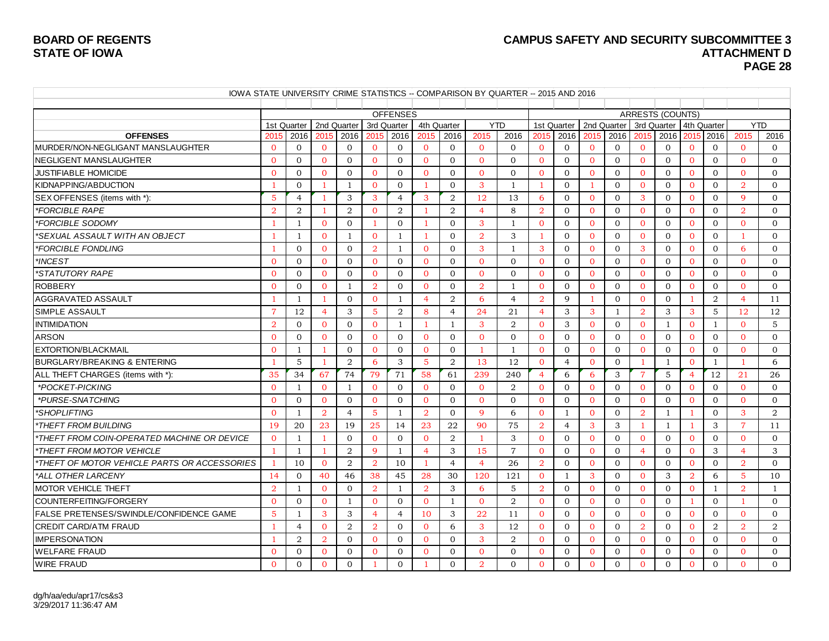#### **BOARD OF REGENTS CAMPUS SAFETY AND SECURITY SUBCOMMITTEE 3 ATTACHMENT D PAGE 28**

| IOWA STATE UNIVERSITY CRIME STATISTICS -- COMPARISON BY QUARTER -- 2015 AND 2016 |                |                |                |                |                |                                |                |                |                        |                |                |                |                |                |                |                                                    |                |                |                |                |
|----------------------------------------------------------------------------------|----------------|----------------|----------------|----------------|----------------|--------------------------------|----------------|----------------|------------------------|----------------|----------------|----------------|----------------|----------------|----------------|----------------------------------------------------|----------------|----------------|----------------|----------------|
|                                                                                  |                |                |                |                |                |                                |                |                |                        |                |                |                |                |                |                |                                                    |                |                |                |                |
|                                                                                  |                | 1st Quarter    |                | 2nd Quarter    |                | <b>OFFENSES</b><br>3rd Quarter | 4th Quarter    |                |                        | <b>YTD</b>     |                | 1st Quarter    |                | 2nd Quarter    |                | <b>ARRESTS (COUNTS)</b><br>3rd Quarter 4th Quarter |                |                |                | <b>YTD</b>     |
| <b>OFFENSES</b>                                                                  | 2015           | 2016           | 2015           | 2016           | 2015           | 2016                           | 2015           | 2016           | 2015                   | 2016           | 2015           | 2016           | 2015           | 2016           | 2015           | 2016                                               | 2015           | 2016           | 2015           | 2016           |
| MURDER/NON-NEGLIGANT MANSLAUGHTER                                                | $\Omega$       | $\Omega$       | $\Omega$       | $\Omega$       | $\Omega$       | $\Omega$                       | $\Omega$       | $\mathbf{0}$   | $\Omega$               | $\Omega$       | $\mathbf{0}$   | $\overline{0}$ | $\Omega$       | $\mathbf{0}$   | $\Omega$       | $\mathbf{0}$                                       | $\mathbf{0}$   | $\overline{0}$ | $\overline{0}$ | $\Omega$       |
| NEGLIGENT MANSLAUGHTER                                                           | $\Omega$       | $\Omega$       | $\Omega$       | $\Omega$       | $\Omega$       | $\Omega$                       | $\Omega$       | $\Omega$       | $\Omega$               | $\Omega$       | $\Omega$       | $\mathbf{0}$   | $\Omega$       | $\Omega$       | $\Omega$       | $\mathbf{0}$                                       | $\Omega$       | $\overline{0}$ | $\Omega$       | $\Omega$       |
| <b>JUSTIFIABLE HOMICIDE</b>                                                      | $\Omega$       | $\Omega$       | $\Omega$       | $\Omega$       | $\Omega$       | $\Omega$                       | $\Omega$       | $\Omega$       | $\Omega$               | $\Omega$       | $\Omega$       | $\Omega$       | $\Omega$       | $\Omega$       | $\Omega$       | $\Omega$                                           | $\Omega$       | $\Omega$       | $\Omega$       | $\Omega$       |
| KIDNAPPING/ABDUCTION                                                             |                | $\Omega$       | -1             | $\mathbf{1}$   | $\Omega$       | $\Omega$                       |                | $\Omega$       | 3                      | $\mathbf{1}$   | $\mathbf{1}$   | $\Omega$       | $\mathbf{1}$   | $\Omega$       | $\Omega$       | $\Omega$                                           | $\Omega$       | $\Omega$       | $\overline{2}$ | $\Omega$       |
| SEX OFFENSES (items with *):                                                     | 5              | $\overline{4}$ | -1             | 3              | 3              | $\overline{4}$                 | 3              | 2              | 12                     | 13             | 6              | $\mathbf{0}$   | $\mathbf{0}$   | $\mathbf{0}$   | 3              | $\mathbf{0}$                                       | $\mathbf{0}$   | $\mathbf{0}$   | 9              | $\mathbf{0}$   |
| *FORCIBLE RAPE                                                                   | $\overline{2}$ | $\overline{2}$ |                | 2              | $\overline{0}$ | 2                              |                | 2              | $\overline{4}$         | 8              | $\overline{2}$ | $\Omega$       | $\Omega$       | $\mathbf{0}$   | $\Omega$       | $\mathbf{0}$                                       | $\mathbf{0}$   | $\mathbf{0}$   | $\overline{2}$ | $\mathbf{0}$   |
| *FORCIBLE SODOMY                                                                 |                | $\mathbf{1}$   | $\Omega$       | $\Omega$       | -1             | $\Omega$                       |                | $\Omega$       | 3                      | $\overline{1}$ | $\Omega$       | $\Omega$       | $\Omega$       | $\Omega$       | $\Omega$       | $\Omega$                                           | $\Omega$       | $\Omega$       | $\Omega$       | $\Omega$       |
| *SEXUAL ASSAULT WITH AN OBJECT                                                   |                | $\overline{1}$ | $\Omega$       | 1              | $\Omega$       | $\mathbf{1}$                   |                | $\Omega$       | $\overline{2}$         | 3              | $\mathbf{1}$   | $\Omega$       | $\Omega$       | $\Omega$       | $\Omega$       | $\Omega$                                           | $\Omega$       | $\Omega$       |                | $\Omega$       |
| *FORCIBLE FONDLING                                                               |                | $\Omega$       | $\Omega$       | $\Omega$       | $\overline{2}$ | 1                              | $\Omega$       | $\mathbf{0}$   | 3                      | $\overline{1}$ | 3              | $\mathbf{0}$   | $\Omega$       | $\Omega$       | 3              | $\mathbf{0}$                                       | $\mathbf{0}$   | $\mathbf{0}$   | 6              | $\overline{0}$ |
| *INCEST                                                                          | $\Omega$       | $\Omega$       | $\Omega$       | $\Omega$       | $\Omega$       | $\Omega$                       | $\Omega$       | $\Omega$       | $\Omega$               | $\Omega$       | $\Omega$       | $\Omega$       | $\Omega$       | $\Omega$       | $\Omega$       | $\Omega$                                           | $\Omega$       | $\Omega$       | $\Omega$       | $\Omega$       |
| *STATUTORY RAPE                                                                  | $\Omega$       | $\Omega$       | $\Omega$       | $\Omega$       | $\Omega$       | $\Omega$                       | $\Omega$       | $\Omega$       | $\Omega$               | $\Omega$       | $\Omega$       | $\Omega$       | $\Omega$       | $\Omega$       | $\Omega$       | $\Omega$                                           | $\Omega$       | $\Omega$       | $\Omega$       | $\Omega$       |
| <b>ROBBERY</b>                                                                   | $\Omega$       | $\Omega$       | $\mathbf{0}$   | $\mathbf{1}$   | $\overline{2}$ | $\mathbf{0}$                   | $\Omega$       | $\mathbf{0}$   | $\overline{2}$         | $\mathbf{1}$   | $\mathbf{0}$   | $\mathbf{0}$   | $\Omega$       | $\Omega$       | $\Omega$       | $\mathbf{0}$                                       | $\mathbf{0}$   | $\mathbf{O}$   | $\Omega$       | $\Omega$       |
| AGGRAVATED ASSAULT                                                               |                | $\mathbf{1}$   | -1             | $\Omega$       | $\Omega$       | $\mathbf{1}$                   | $\overline{4}$ | $\overline{2}$ | 6                      | $\overline{4}$ | $\overline{2}$ | 9              | $\overline{1}$ | $\Omega$       | $\Omega$       | $\Omega$                                           | -1             | $\overline{2}$ | $\overline{4}$ | 11             |
| <b>SIMPLE ASSAULT</b>                                                            | $\overline{7}$ | 12             | $\overline{4}$ | 3              | 5              | 2                              | 8              | $\overline{4}$ | 24                     | 21             | $\overline{4}$ | 3              | 3              | $\overline{1}$ | $\overline{2}$ | 3                                                  | 3              | 5              | 12             | 12             |
| <b>INTIMIDATION</b>                                                              | $\overline{2}$ | $\Omega$       | $\overline{0}$ | $\Omega$       | $\mathbf{0}$   | 1                              |                | -1             | 3                      | 2              | $\mathbf{0}$   | 3              | $\mathbf{0}$   | $\mathbf{0}$   | $\Omega$       | 1                                                  | $\mathbf{0}$   | $\mathbf{1}$   | $\overline{0}$ | 5              |
| <b>ARSON</b>                                                                     | $\Omega$       | $\Omega$       | $\Omega$       | $\Omega$       | $\mathbf{O}$   | $\Omega$                       | $\mathbf{0}$   | $\mathbf{0}$   | $\overline{0}$         | $\overline{0}$ | $\mathbf{0}$   | $\overline{0}$ | $\mathbf{0}$   | $\mathbf{0}$   | $\mathbf{0}$   | $\mathbf{0}$                                       | $\mathbf{0}$   | $\mathbf{0}$   | $\overline{0}$ | $\mathbf{0}$   |
| EXTORTION/BLACKMAIL                                                              | $\Omega$       | $\mathbf{1}$   | -1             | $\Omega$       | $\Omega$       | $\Omega$                       | $\Omega$       | $\Omega$       | $\mathbf{1}$           | $\mathbf{1}$   | $\Omega$       | $\Omega$       | $\Omega$       | $\Omega$       | $\Omega$       | $\Omega$                                           | $\Omega$       | $\Omega$       | $\Omega$       | $\Omega$       |
| <b>BURGLARY/BREAKING &amp; ENTERING</b>                                          |                | $\overline{5}$ | -1             | $\overline{2}$ | 6              | 3                              | 5              | $\overline{2}$ | 13                     | 12             | $\Omega$       | $\overline{4}$ | $\Omega$       | $\Omega$       | $\overline{1}$ | $\overline{1}$                                     | $\Omega$       | $\mathbf{1}$   | -1             | 6              |
| ALL THEFT CHARGES (items with *):                                                | 35             | 34             | 67             | 74             | 79             | 71                             | 58             | 61             | 239                    | 240            | $\overline{4}$ | 6              | 6              | 3              | $\overline{7}$ | 5                                                  | $\overline{4}$ | 12             | 21             | 26             |
| *POCKET-PICKING                                                                  | $\Omega$       | $\overline{1}$ | $\Omega$       | $\mathbf{1}$   | $\Omega$       | $\Omega$                       | $\Omega$       | $\Omega$       | $\Omega$               | $\overline{2}$ | $\Omega$       | $\Omega$       | $\Omega$       | $\Omega$       | $\Omega$       | $\Omega$                                           | $\Omega$       | $\Omega$       | $\Omega$       | $\Omega$       |
| *PURSE-SNATCHING                                                                 | $\Omega$       | $\Omega$       | $\Omega$       | $\Omega$       | $\Omega$       | $\Omega$                       | $\Omega$       | $\Omega$       | $\Omega$               | $\Omega$       | $\Omega$       | $\Omega$       | $\Omega$       | $\Omega$       | $\Omega$       | $\Omega$                                           | $\Omega$       | $\Omega$       | $\Omega$       | $\Omega$       |
| *SHOPLIFTING                                                                     | $\Omega$       | $\mathbf{1}$   | $\overline{2}$ | $\overline{4}$ | 5              | -1                             | $\overline{2}$ | $\Omega$       | 9                      | 6              | $\mathbf{0}$   | 1              | $\mathbf{0}$   | $\mathbf{0}$   | $\overline{2}$ | 1                                                  |                | $\Omega$       | 3              | 2              |
| <i><b>*THEFT FROM BUILDING</b></i>                                               | 19             | 20             | 23             | 19             | 25             | 14                             | 23             | 22             | 90                     | 75             | $\overline{2}$ | $\overline{4}$ | 3              | 3              | 1              | $\mathbf{1}$                                       | -1             | 3              | $\overline{7}$ | 11             |
| *THEFT FROM COIN-OPERATED MACHINE OR DEVICE                                      | $\Omega$       | $\mathbf{1}$   | 1              | $\Omega$       | $\Omega$       | $\Omega$                       | $\Omega$       | 2              | $\mathbf{1}$           | 3              | $\Omega$       | $\Omega$       | $\Omega$       | $\Omega$       | $\Omega$       | $\Omega$                                           | $\Omega$       | $\Omega$       | $\mathbf{0}$   | $\Omega$       |
| *THEFT FROM MOTOR VEHICLE                                                        | 1              | 1              | -1             | 2              | 9              | 1                              | 4              | 3              | 15                     | $\overline{7}$ | $\mathbf{0}$   | $\Omega$       | $\mathbf{0}$   | $\Omega$       | $\overline{4}$ | $\Omega$                                           | $\mathbf{0}$   | 3              | 4              | 3              |
| *THEFT OF MOTOR VEHICLE PARTS OR ACCESSORIES                                     |                | 10             | $\overline{0}$ | 2              | $\overline{2}$ | 10                             | -1             | $\overline{4}$ | $\overline{4}$         | 26             | $\overline{2}$ | $\mathbf{0}$   | $\mathbf{0}$   | $\mathbf{0}$   | $\mathbf{0}$   | $\mathbf{0}$                                       | $\mathbf{0}$   | $\mathbf{0}$   | $\overline{2}$ | $\mathbf{0}$   |
| *ALL OTHER LARCENY                                                               | 14             | $\Omega$       | 40             | 46             | 38             | 45                             | 28             | 30             | 120                    | 121            | $\Omega$       | $\mathbf{1}$   | 3              | $\Omega$       | $\Omega$       | 3                                                  | $\overline{2}$ | 6              | 5              | 10             |
| <b>MOTOR VEHICLE THEFT</b>                                                       | $\overline{2}$ | $\overline{1}$ | $\Omega$       | $\Omega$       | $\overline{2}$ | 1                              | $\overline{2}$ | 3              | -6                     | $\overline{5}$ | $\overline{2}$ | $\Omega$       | $\Omega$       | $\Omega$       | $\Omega$       | $\Omega$                                           | $\Omega$       | 1              | $\overline{2}$ | $\mathbf{1}$   |
| COUNTERFEITING/FORGERY                                                           | $\Omega$       | $\mathbf{0}$   | $\overline{0}$ | $\mathbf{1}$   | $\mathbf{0}$   | $\overline{0}$                 | $\overline{0}$ | 1              | $\Omega$               | 2              | $\overline{0}$ | $\mathbf{0}$   | $\mathbf{0}$   | $\mathbf{0}$   | $\mathbf{0}$   | $\mathbf{0}$                                       | 1              | $\mathbf{0}$   | $\mathbf{1}$   | $\mathbf{0}$   |
| FALSE PRETENSES/SWINDLE/CONFIDENCE GAME                                          | 5              | 1              | 3              | 3              | $\overline{4}$ | $\overline{4}$                 | 10             | 3              | 22                     | 11             | $\overline{0}$ | $\mathbf{0}$   | $\mathbf{0}$   | $\mathbf{0}$   | $\mathbf{0}$   | $\mathbf{0}$                                       | $\overline{0}$ | $\mathbf{0}$   | $\overline{0}$ | $\mathbf{0}$   |
| <b>CREDIT CARD/ATM FRAUD</b>                                                     | -1             | $\overline{4}$ | $\Omega$       | $\overline{2}$ | $\overline{2}$ | $\Omega$                       | $\Omega$       | 6              | 3                      | 12             | $\Omega$       | $\Omega$       | $\Omega$       | $\Omega$       | $\overline{2}$ | $\mathbf{0}$                                       | $\overline{0}$ | $\overline{2}$ | $\overline{2}$ | 2              |
| IIMPERSONATION                                                                   |                | 2              | $\overline{2}$ | $\Omega$       | $\Omega$       | $\Omega$                       | $\overline{0}$ | $\Omega$       | 3                      | 2              | $\Omega$       | $\Omega$       | $\Omega$       | $\Omega$       | $\Omega$       | $\mathbf{0}$                                       | $\mathbf{0}$   | $\overline{0}$ | $\Omega$       | $\Omega$       |
| <b>WELFARE FRAUD</b>                                                             | $\Omega$       | $\mathbf{0}$   | $\Omega$       | $\mathbf{0}$   | $\Omega$       | $\mathbf{0}$                   | $\Omega$       | $\mathbf{0}$   | $\Omega$               | $\Omega$       | $\mathbf{0}$   | $\mathbf{0}$   | $\mathbf{0}$   | $\mathbf{0}$   | $\mathbf{0}$   | $\mathbf{0}$                                       | $\mathbf{O}$   | $\mathbf{0}$   | $\mathbf{0}$   | $\mathbf{0}$   |
| <b>WIRE FRAUD</b>                                                                | $\Omega$       | $\Omega$       | $\Omega$       | $\Omega$       | -1             | $\Omega$                       |                | $\Omega$       | $\mathcal{D}_{\alpha}$ | $\Omega$       | $\Omega$       | $\Omega$       | $\Omega$       | $\Omega$       | $\Omega$       | $\Omega$                                           | $\Omega$       | $\Omega$       | $\Omega$       | $\Omega$       |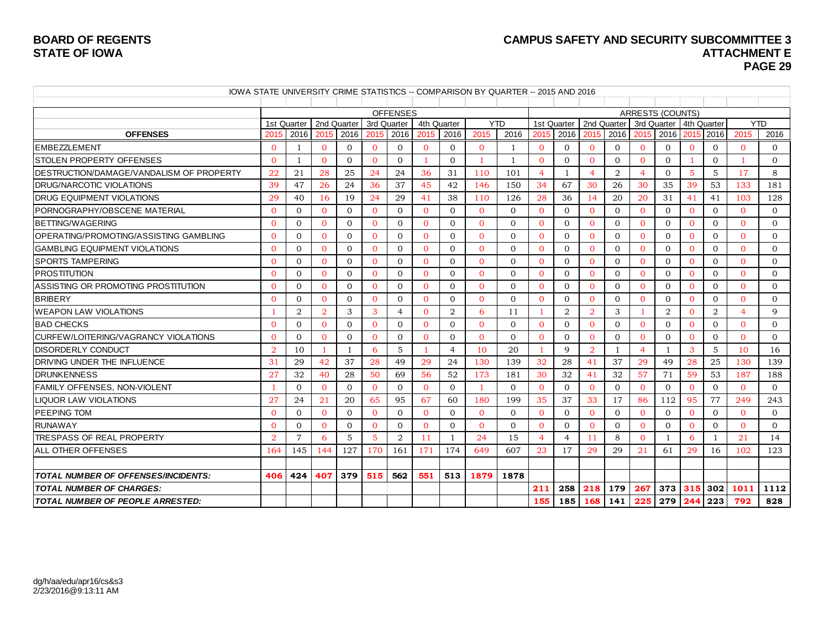### **BOARD OF REGENTS CAMPUS SAFETY AND SECURITY SUBCOMMITTEE 3 PAGE 29**

| IOWA STATE UNIVERSITY CRIME STATISTICS -- COMPARISON BY QUARTER -- 2015 AND 2016 |                |                |                |                |                |                 |                |                |                |              |                |                |                |                |                |                         |              |                |                |                |
|----------------------------------------------------------------------------------|----------------|----------------|----------------|----------------|----------------|-----------------|----------------|----------------|----------------|--------------|----------------|----------------|----------------|----------------|----------------|-------------------------|--------------|----------------|----------------|----------------|
|                                                                                  |                |                |                |                |                |                 |                |                |                |              |                |                |                |                |                |                         |              |                |                |                |
|                                                                                  |                |                |                |                |                | <b>OFFENSES</b> |                |                |                |              |                |                |                |                |                | <b>ARRESTS (COUNTS)</b> |              |                |                |                |
|                                                                                  |                | 1st Quarter    |                | 2nd Quarter    | 3rd Quarter    |                 | 4th Quarter    |                | <b>YTD</b>     |              |                | 1st Quarter    | 2nd Quarter    |                | 3rd Quarter    |                         | 4th Quarter  |                | <b>YTD</b>     |                |
| <b>OFFENSES</b>                                                                  | 2015           | 2016           | 2015           | 2016           | 2015           | 2016            | 2015           | 2016           | 2015           | 2016         | 2015           | 2016           | 2015           | 2016           | 2015           | 2016                    | 2015         | 2016           | 2015           | 2016           |
| <b>EMBEZZLEMENT</b>                                                              | $\Omega$       | 1              | $\overline{0}$ | $\overline{0}$ | $\overline{0}$ | $\overline{0}$  | $\Omega$       | $\mathbf{0}$   | $\overline{0}$ | 1            | $\overline{0}$ | $\mathbf{0}$   | $\mathbf{0}$   | $\mathbf{0}$   | $\overline{0}$ | $\overline{0}$          | $\mathbf{0}$ | $\mathbf{0}$   | $\overline{0}$ | $\overline{0}$ |
| <b>STOLEN PROPERTY OFFENSES</b>                                                  | $\Omega$       | 1              | $\Omega$       | $\overline{0}$ | $\Omega$       | $\Omega$        |                | $\Omega$       | 1              | $\mathbf{1}$ | $\overline{0}$ | $\Omega$       | $\Omega$       | $\Omega$       | $\overline{0}$ | $\mathbf{0}$            |              | $\overline{0}$ |                | $\Omega$       |
| DESTRUCTION/DAMAGE/VANDALISM OF PROPERTY                                         | 22             | 21             | 28             | 25             | 24             | 24              | 36             | 31             | 110            | 101          | $\overline{4}$ | $\overline{1}$ | $\overline{4}$ | $\overline{2}$ | $\overline{4}$ | $\Omega$                | $5^{\circ}$  | $\overline{5}$ | 17             | 8              |
| <b>DRUG/NARCOTIC VIOLATIONS</b>                                                  | 39             | 47             | 26             | 24             | 36             | 37              | 45             | 42             | 146            | 150          | 34             | 67             | 30             | 26             | 30             | 35                      | 39           | 53             | 133            | 181            |
| DRUG EQUIPMENT VIOLATIONS                                                        | 29             | 40             | <sup>16</sup>  | 19             | 24             | 29              | 41             | 38             | 110            | 126          | 28             | 36             | 14             | 20             | 20             | 31                      | 41           | 41             | 103            | 128            |
| PORNOGRAPHY/OBSCENE MATERIAL                                                     | $\Omega$       | $\mathbf{0}$   | $\mathbf{0}$   | $\overline{0}$ | $\Omega$       | $\overline{0}$  | $\Omega$       | $\mathbf{0}$   | $\overline{0}$ | $\mathbf{0}$ | $\overline{0}$ | $\mathbf{0}$   | $\overline{0}$ | $\mathbf{0}$   | $\overline{0}$ | $\overline{0}$          | $\mathbf{0}$ | $\overline{0}$ | $\overline{0}$ | $\overline{0}$ |
| BETTING/WAGERING                                                                 | $\Omega$       | $\Omega$       | $\Omega$       | $\Omega$       | $\Omega$       | $\Omega$        | $\Omega$       | $\Omega$       | $\Omega$       | $\Omega$     | $\Omega$       | $\Omega$       | $\Omega$       | $\Omega$       | $\Omega$       | $\Omega$                | $\Omega$     | $\Omega$       | $\Omega$       | $\Omega$       |
| OPERATING/PROMOTING/ASSISTING GAMBLING                                           | $\Omega$       | $\Omega$       | $\Omega$       | $\Omega$       | $\Omega$       | $\Omega$        | $\Omega$       | $\Omega$       | $\Omega$       | $\Omega$     | $\Omega$       | $\Omega$       | $\Omega$       | $\Omega$       | $\overline{0}$ | $\mathbf{0}$            | $\mathbf{0}$ | $\Omega$       | 0              | $\Omega$       |
| GAMBLING EQUIPMENT VIOLATIONS                                                    | $\Omega$       | $\Omega$       | $\Omega$       | $\Omega$       | $\Omega$       | $\Omega$        | $\Omega$       | $\Omega$       | $\Omega$       | $\Omega$     | $\Omega$       | $\Omega$       | $\Omega$       | $\Omega$       | $\overline{0}$ | $\overline{0}$          | $\Omega$     | $\Omega$       | $\Omega$       | $\Omega$       |
| <b>SPORTS TAMPERING</b>                                                          | $\Omega$       | $\Omega$       | $\Omega$       | $\Omega$       | $\Omega$       | $\Omega$        | $\Omega$       | $\Omega$       | $\Omega$       | $\Omega$     | $\overline{0}$ | $\Omega$       | $\mathbf{0}$   | $\Omega$       | $\overline{0}$ | $\overline{0}$          | $\mathbf{0}$ | $\Omega$       | $\Omega$       | $\Omega$       |
| <b>PROSTITUTION</b>                                                              | $\Omega$       | $\Omega$       | $\Omega$       | $\Omega$       | $\Omega$       | $\Omega$        | $\Omega$       | $\Omega$       | $\Omega$       | $\Omega$     | $\Omega$       | $\Omega$       | $\Omega$       | $\Omega$       | $\Omega$       | $\Omega$                | $\Omega$     | $\Omega$       | $\Omega$       | $\Omega$       |
| ASSISTING OR PROMOTING PROSTITUTION                                              | $\Omega$       | $\Omega$       | $\Omega$       | $\Omega$       | $\Omega$       | $\Omega$        | $\Omega$       | $\Omega$       | $\Omega$       | $\Omega$     | $\Omega$       | $\mathbf{0}$   | $\Omega$       | $\Omega$       | $\overline{0}$ | $\mathbf{0}$            | $\mathbf{0}$ | $\Omega$       | $\Omega$       | $\Omega$       |
| <b>BRIBERY</b>                                                                   | $\Omega$       | $\Omega$       | $\Omega$       | $\Omega$       | $\Omega$       | $\Omega$        | $\Omega$       | $\Omega$       | $\Omega$       | $\Omega$     | $\Omega$       | $\Omega$       | $\Omega$       | $\Omega$       | $\overline{0}$ | $\overline{0}$          | $\Omega$     | $\Omega$       | $\Omega$       | $\Omega$       |
| <b>WEAPON LAW VIOLATIONS</b>                                                     |                | 2              | $\overline{2}$ | 3              | 3              | $\overline{4}$  | $\Omega$       | $\overline{2}$ | 6              | 11           | -1             | $\overline{2}$ | $\overline{2}$ | 3              |                | $\overline{2}$          | $\Omega$     | $\overline{2}$ | $\overline{4}$ | 9              |
| <b>BAD CHECKS</b>                                                                | $\Omega$       | $\Omega$       | $\Omega$       | $\Omega$       | $\Omega$       | $\overline{0}$  | $\Omega$       | $\Omega$       | $\Omega$       | $\Omega$     | $\mathbf{0}$   | $\Omega$       | $\mathbf{0}$   | $\Omega$       | $\mathbf{0}$   | $\mathbf{0}$            | $\mathbf{0}$ | $\Omega$       | $\Omega$       | $\mathbf{0}$   |
| CURFEW/LOITERING/VAGRANCY VIOLATIONS                                             | $\Omega$       | $\Omega$       | $\Omega$       | $\Omega$       | $\Omega$       | $\Omega$        | $\Omega$       | $\Omega$       | $\Omega$       | $\Omega$     | $\Omega$       | $\Omega$       | $\Omega$       | $\Omega$       | $\Omega$       | $\mathbf{0}$            | $\Omega$     | $\Omega$       | $\Omega$       | $\Omega$       |
| <b>DISORDERLY CONDUCT</b>                                                        | $\overline{2}$ | 10             | -1             | 1              | 6              | 5               | -1             | $\overline{4}$ | 10             | 20           | $\mathbf{1}$   | 9              | $\overline{2}$ | $\mathbf{1}$   | $\overline{4}$ | 1                       | 3            | 5              | 10             | 16             |
| <b>IDRIVING UNDER THE INFLUENCE</b>                                              | 31             | 29             | 42             | 37             | 28             | 49              | 29             | 24             | 130            | 139          | 32             | 28             | 41             | 37             | 29             | 49                      | 28           | 25             | 130            | 139            |
| <b>DRUNKENNESS</b>                                                               | 27             | 32             | 40             | 28             | 50             | 69              | 56             | 52             | 173            | 181          | 30             | 32             | 41             | 32             | 57             | 71                      | 59           | 53             | 187            | 188            |
| FAMILY OFFENSES, NON-VIOLENT                                                     |                | $\Omega$       | $\mathbf{0}$   | $\Omega$       | $\Omega$       | $\Omega$        | $\Omega$       | $\Omega$       | $\mathbf{1}$   | $\Omega$     | $\Omega$       | $\Omega$       | $\Omega$       | $\Omega$       | $\overline{0}$ | $\mathbf{0}$            | $\Omega$     | $\Omega$       | $\Omega$       | $\Omega$       |
| <b>LIQUOR LAW VIOLATIONS</b>                                                     | 27             | 24             | 21             | 20             | 65             | 95              | 67             | 60             | 180            | 199          | 35             | 37             | 33             | 17             | 86             | 112                     | 95           | 77             | 249            | 243            |
| <b>PEEPING TOM</b>                                                               | $\Omega$       | $\Omega$       | $\Omega$       | $\Omega$       | $\Omega$       | $\Omega$        | $\Omega$       | $\Omega$       | $\Omega$       | $\Omega$     | $\Omega$       | $\Omega$       | $\Omega$       | $\Omega$       | $\Omega$       | $\Omega$                | $\Omega$     | $\Omega$       | $\Omega$       | $\Omega$       |
| <b>RUNAWAY</b>                                                                   | $\Omega$       | $\mathbf{0}$   | $\mathbf{0}$   | $\overline{0}$ | $\overline{0}$ | $\overline{0}$  | $\overline{0}$ | $\mathbf{0}$   | $\overline{0}$ | $\mathbf{0}$ | $\overline{0}$ | $\mathbf{0}$   | $\mathbf{0}$   | $\mathbf{0}$   | $\overline{0}$ | $\mathbf{0}$            | $\mathbf{0}$ | $\overline{0}$ | $\overline{0}$ | $\mathbf{0}$   |
| <b>TRESPASS OF REAL PROPERTY</b>                                                 | $\overline{2}$ | $\overline{7}$ | 6              | 5              | 5              | 2               | 11             | $\overline{1}$ | 24             | 15           | $\overline{4}$ | $\overline{4}$ | 11             | 8              | $\Omega$       | $\mathbf{1}$            | 6            | 1              | 21             | 14             |
| <b>ALL OTHER OFFENSES</b>                                                        | 164            | 145            | 144            | 127            | 170            | 161             | 171            | 174            | 649            | 607          | 23             | 17             | 29             | 29             | 21             | 61                      | 29           | 16             | 102            | 123            |
| <b>TOTAL NUMBER OF OFFENSES/INCIDENTS:</b>                                       | 406            | 424            | 407            | 379            | 515            | 562             | 551            | 513            | 1879           | 1878         |                |                |                |                |                |                         |              |                |                |                |
| <b>TOTAL NUMBER OF CHARGES:</b>                                                  |                |                |                |                |                |                 |                |                |                |              | 211            | 258            | 218            | 179            | 267            | 373 315                 |              | 302            | 1011           | 1112           |
| <b>TOTAL NUMBER OF PEOPLE ARRESTED:</b>                                          |                |                |                |                |                |                 |                |                |                |              | 155            | 185            | 168            | 141            | 225            | 279                     | 244          | 223            | 792            | 828            |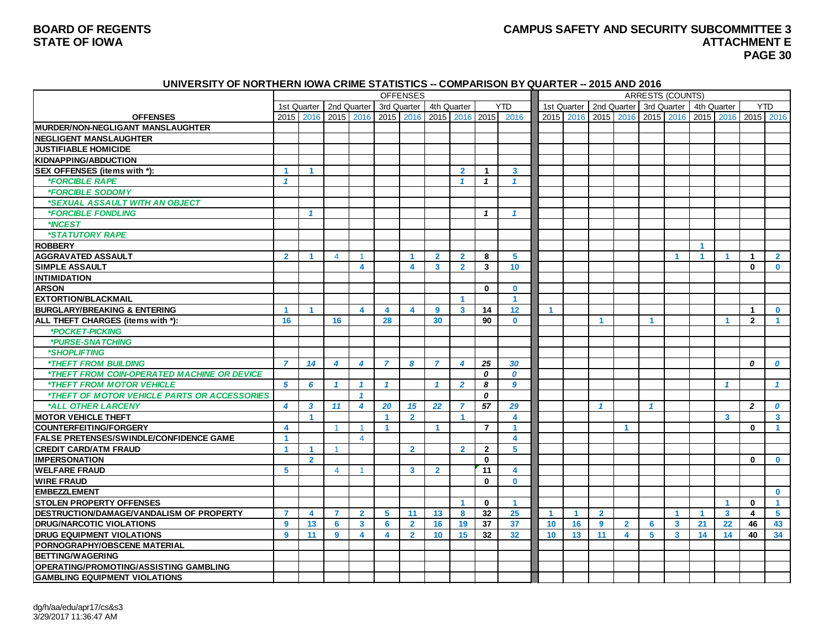#### **BOARD OF REGENTS CAMPUS SAFETY AND SECURITY SUBCOMMITTEE 3 STATE OF IOWA ATTACHMENT E PAGE 30**

#### **UNIVERSITY OF NORTHERN IOWA CRIME STATISTICS -- COMPARISON BY QUARTER -- 2015 AND 2016**

|                                                           |                         |                      |                      |                         |                      | <b>OFFENSES</b>         |                         |                      |                         |                         |                      |                      |                           |                      |                      | <b>ARRESTS (COUNTS)</b> |                      |                         |                      |                         |
|-----------------------------------------------------------|-------------------------|----------------------|----------------------|-------------------------|----------------------|-------------------------|-------------------------|----------------------|-------------------------|-------------------------|----------------------|----------------------|---------------------------|----------------------|----------------------|-------------------------|----------------------|-------------------------|----------------------|-------------------------|
|                                                           | 1st Quarter             |                      | 2nd Quarter          |                         | 3rd Quarter          |                         | 4th Quarter             |                      |                         | <b>YTD</b>              |                      |                      | 1st Quarter   2nd Quarter |                      | 3rd Quarter          |                         |                      | 4th Quarter             | <b>YTD</b>           |                         |
| <b>OFFENSES</b>                                           |                         | 2015 2016            | 2015                 | 2016                    | 2015                 | 2016                    | 2015                    | 2016                 | 2015                    | 2016                    |                      | 2015 2016            | 2015                      | 2016                 | 2015                 | 2016                    | 2015                 | 2016                    | 2015 2016            |                         |
| <b>MURDER/NON-NEGLIGANT MANSLAUGHTER</b>                  |                         |                      |                      |                         |                      |                         |                         |                      |                         |                         |                      |                      |                           |                      |                      |                         |                      |                         |                      |                         |
| <b>NEGLIGENT MANSLAUGHTER</b>                             |                         |                      |                      |                         |                      |                         |                         |                      |                         |                         |                      |                      |                           |                      |                      |                         |                      |                         |                      |                         |
| <b>JUSTIFIABLE HOMICIDE</b>                               |                         |                      |                      |                         |                      |                         |                         |                      |                         |                         |                      |                      |                           |                      |                      |                         |                      |                         |                      |                         |
| <b>KIDNAPPING/ABDUCTION</b>                               |                         |                      |                      |                         |                      |                         |                         |                      |                         |                         |                      |                      |                           |                      |                      |                         |                      |                         |                      |                         |
| SEX OFFENSES (items with *):                              | 1                       | $\blacktriangleleft$ |                      |                         |                      |                         |                         | $\overline{2}$       | $\mathbf 1$             | 3                       |                      |                      |                           |                      |                      |                         |                      |                         |                      |                         |
| <i><b>*FORCIBLE RAPE</b></i>                              | $\overline{\mathbf{1}}$ |                      |                      |                         |                      |                         |                         | $\mathbf{1}$         | $\mathbf{1}$            | 1                       |                      |                      |                           |                      |                      |                         |                      |                         |                      |                         |
| *FORCIBLE SODOMY                                          |                         |                      |                      |                         |                      |                         |                         |                      |                         |                         |                      |                      |                           |                      |                      |                         |                      |                         |                      |                         |
| *SEXUAL ASSAULT WITH AN OBJECT                            |                         |                      |                      |                         |                      |                         |                         |                      |                         |                         |                      |                      |                           |                      |                      |                         |                      |                         |                      |                         |
| <i><b>*FORCIBLE FONDLING</b></i>                          |                         | $\mathbf{1}$         |                      |                         |                      |                         |                         |                      | $\mathbf{1}$            | $\overline{1}$          |                      |                      |                           |                      |                      |                         |                      |                         |                      |                         |
| *INCEST                                                   |                         |                      |                      |                         |                      |                         |                         |                      |                         |                         |                      |                      |                           |                      |                      |                         |                      |                         |                      |                         |
| *STATUTORY RAPE                                           |                         |                      |                      |                         |                      |                         |                         |                      |                         |                         |                      |                      |                           |                      |                      |                         |                      |                         |                      |                         |
| <b>ROBBERY</b>                                            |                         |                      |                      |                         |                      |                         |                         |                      |                         |                         |                      |                      |                           |                      |                      |                         | $\blacktriangleleft$ |                         |                      |                         |
| <b>AGGRAVATED ASSAULT</b>                                 | $\overline{2}$          | $\blacktriangleleft$ | $\overline{4}$       | $\overline{1}$          |                      | $\overline{1}$          | $\overline{2}$          | $\overline{2}$       | 8                       | 5                       |                      |                      |                           |                      |                      | $\blacktriangleleft$    | $\blacktriangleleft$ | $\blacktriangleleft$    | $\blacktriangleleft$ | $\overline{2}$          |
| <b>SIMPLE ASSAULT</b>                                     |                         |                      |                      | $\overline{\mathbf{A}}$ |                      | $\boldsymbol{\Lambda}$  | $\overline{\mathbf{3}}$ | $\overline{2}$       | $\overline{\mathbf{3}}$ | 10                      |                      |                      |                           |                      |                      |                         |                      |                         | $\mathbf{0}$         | $\mathbf{0}$            |
| <b>INTIMIDATION</b>                                       |                         |                      |                      |                         |                      |                         |                         |                      |                         |                         |                      |                      |                           |                      |                      |                         |                      |                         |                      |                         |
| <b>ARSON</b>                                              |                         |                      |                      |                         |                      |                         |                         |                      | $\mathbf{0}$            | $\bf{0}$                |                      |                      |                           |                      |                      |                         |                      |                         |                      |                         |
| <b>EXTORTION/BLACKMAIL</b>                                |                         |                      |                      |                         |                      |                         |                         | 1                    |                         | 1                       |                      |                      |                           |                      |                      |                         |                      |                         |                      |                         |
| <b>BURGLARY/BREAKING &amp; ENTERING</b>                   | $\blacktriangleleft$    | -1                   |                      | 4                       | 4                    | 4                       | $\overline{9}$          | $\mathbf{3}$         | 14                      | 12                      | $\blacktriangleleft$ |                      |                           |                      |                      |                         |                      |                         | $\blacktriangleleft$ | $\mathbf{0}$            |
| ALL THEFT CHARGES (items with *):                         | 16                      |                      | 16                   |                         | 28                   |                         | 30                      |                      | 90                      | $\bf{0}$                |                      |                      | 1                         |                      | $\blacktriangleleft$ |                         |                      | -1                      | $\mathbf{2}$         | -1                      |
| *POCKET-PICKING                                           |                         |                      |                      |                         |                      |                         |                         |                      |                         |                         |                      |                      |                           |                      |                      |                         |                      |                         |                      |                         |
| *PURSE-SNATCHING                                          |                         |                      |                      |                         |                      |                         |                         |                      |                         |                         |                      |                      |                           |                      |                      |                         |                      |                         |                      |                         |
| <i><b>*SHOPLIFTING</b></i>                                |                         |                      |                      |                         |                      |                         |                         |                      |                         |                         |                      |                      |                           |                      |                      |                         |                      |                         |                      |                         |
| <i><b>*THEFT FROM BUILDING</b></i>                        | $\overline{7}$          | 14                   | 4                    | $\overline{\bf{4}}$     | $\overline{7}$       | 8                       | $\overline{7}$          | 4                    | 25                      | 30                      |                      |                      |                           |                      |                      |                         |                      |                         | 0                    | $\boldsymbol{o}$        |
| <i><b>*THEFT FROM COIN-OPERATED MACHINE OR DEVICE</b></i> |                         |                      |                      |                         |                      |                         |                         |                      | 0                       | $\boldsymbol{0}$        |                      |                      |                           |                      |                      |                         |                      |                         |                      |                         |
| *THEFT FROM MOTOR VEHICLE                                 | 5                       | 6                    | $\mathbf{1}$         | $\mathbf{1}$            | $\mathbf{1}$         |                         | $\overline{\mathbf{1}}$ | $\overline{2}$       | 8                       | $\boldsymbol{g}$        |                      |                      |                           |                      |                      |                         |                      | $\mathbf{1}$            |                      | $\mathbf{1}$            |
| *THEFT OF MOTOR VEHICLE PARTS OR ACCESSORIES              |                         |                      |                      | $\overline{1}$          |                      |                         |                         |                      | 0                       |                         |                      |                      |                           |                      |                      |                         |                      |                         |                      |                         |
| *ALL OTHER LARCENY                                        | $\blacktriangle$        | 3                    | 11                   | $\boldsymbol{4}$        | 20                   | 15                      | 22                      | $\overline{7}$       | 57                      | 29                      |                      |                      | 1                         |                      | -1                   |                         |                      |                         | $\overline{2}$       | 0                       |
| <b>MOTOR VEHICLE THEFT</b>                                |                         | $\blacktriangleleft$ |                      |                         | $\blacktriangleleft$ | $\overline{2}$          |                         | 1                    |                         | $\overline{\mathbf{4}}$ |                      |                      |                           |                      |                      |                         |                      | $\overline{\mathbf{3}}$ |                      | $\overline{\mathbf{3}}$ |
| <b>COUNTERFEITING/FORGERY</b>                             | 4                       |                      | $\blacktriangleleft$ | $\blacktriangleleft$    | $\blacktriangleleft$ |                         | $\blacktriangleleft$    |                      | $\overline{7}$          | 1                       |                      |                      |                           | $\blacktriangleleft$ |                      |                         |                      |                         | $\mathbf{0}$         | $\blacktriangleleft$    |
| <b>FALSE PRETENSES/SWINDLE/CONFIDENCE GAME</b>            | $\blacktriangleleft$    |                      |                      | $\overline{4}$          |                      |                         |                         |                      |                         | $\overline{\mathbf{4}}$ |                      |                      |                           |                      |                      |                         |                      |                         |                      |                         |
| <b>CREDIT CARD/ATM FRAUD</b>                              | $\blacktriangleleft$    | 1                    | $\blacktriangleleft$ |                         |                      | $\overline{2}$          |                         | $\overline{2}$       | $\overline{2}$          | 5                       |                      |                      |                           |                      |                      |                         |                      |                         |                      |                         |
| <b>IMPERSONATION</b>                                      |                         | $\overline{2}$       |                      |                         |                      |                         |                         |                      | $\mathbf 0$             |                         |                      |                      |                           |                      |                      |                         |                      |                         | 0                    | $\mathbf 0$             |
| <b>WELFARE FRAUD</b>                                      | 5                       |                      | $\overline{4}$       | $\overline{1}$          |                      | $\overline{\mathbf{3}}$ | $\overline{2}$          |                      | 11                      | 4                       |                      |                      |                           |                      |                      |                         |                      |                         |                      |                         |
| <b>WIRE FRAUD</b>                                         |                         |                      |                      |                         |                      |                         |                         |                      | $\mathbf{0}$            | $\bf{0}$                |                      |                      |                           |                      |                      |                         |                      |                         |                      |                         |
| <b>EMBEZZLEMENT</b>                                       |                         |                      |                      |                         |                      |                         |                         |                      |                         |                         |                      |                      |                           |                      |                      |                         |                      |                         |                      | $\mathbf{0}$            |
| <b>STOLEN PROPERTY OFFENSES</b>                           |                         |                      |                      |                         |                      |                         |                         | $\blacktriangleleft$ | $\mathbf 0$             | $\blacktriangleleft$    |                      |                      |                           |                      |                      |                         |                      | $\blacktriangleleft$    | $\bf{0}$             | $\blacktriangleleft$    |
| DESTRUCTION/DAMAGE/VANDALISM OF PROPERTY                  | $\overline{7}$          | 4                    | $\overline{7}$       | $\overline{2}$          | -5                   | 11                      | 13                      | 8                    | 32                      | 25                      | $\blacktriangleleft$ | $\blacktriangleleft$ | $\overline{2}$            |                      |                      | $\blacktriangleleft$    | -1                   | $\mathbf{3}$            | 4                    | 5                       |
| <b>DRUG/NARCOTIC VIOLATIONS</b>                           | 9                       | 13                   | 6                    | 3                       | 6                    | $\overline{2}$          | 16                      | 19                   | 37                      | 37                      | 10                   | 16                   | 9                         | $\overline{2}$       | 6                    | 3                       | 21                   | 22                      | 46                   | 43                      |
| <b>DRUG EQUIPMENT VIOLATIONS</b>                          | $\mathbf{9}$            | 11                   | $\overline{9}$       | 4                       | 4                    | $\overline{2}$          | 10 <sup>°</sup>         | 15                   | 32                      | 32                      | 10                   | 13                   | 11                        | 4                    | 5                    | $\overline{\mathbf{3}}$ | 14                   | 14                      | 40                   | 34                      |
| PORNOGRAPHY/OBSCENE MATERIAL                              |                         |                      |                      |                         |                      |                         |                         |                      |                         |                         |                      |                      |                           |                      |                      |                         |                      |                         |                      |                         |
| <b>BETTING/WAGERING</b>                                   |                         |                      |                      |                         |                      |                         |                         |                      |                         |                         |                      |                      |                           |                      |                      |                         |                      |                         |                      |                         |
| OPERATING/PROMOTING/ASSISTING GAMBLING                    |                         |                      |                      |                         |                      |                         |                         |                      |                         |                         |                      |                      |                           |                      |                      |                         |                      |                         |                      |                         |
| <b>GAMBLING EQUIPMENT VIOLATIONS</b>                      |                         |                      |                      |                         |                      |                         |                         |                      |                         |                         |                      |                      |                           |                      |                      |                         |                      |                         |                      |                         |